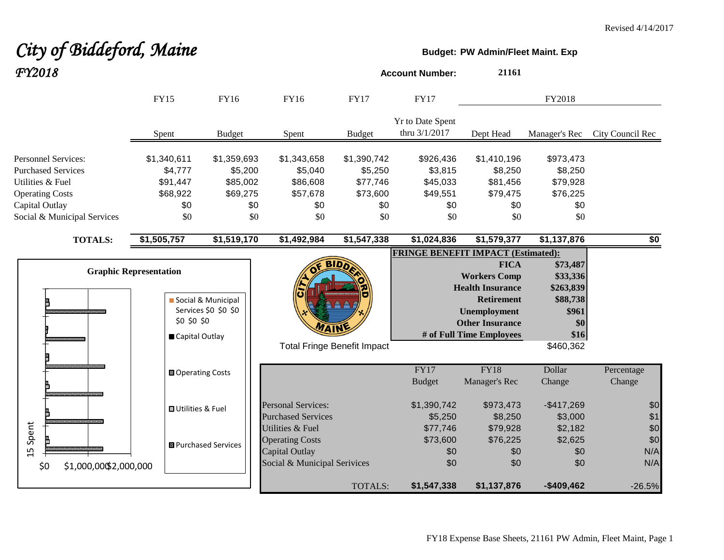# City of Biddeford, Maine **Budget:** PW Admin/Fleet Maint. Exp

| FY2018                                     |                               |                                            |                              |                                    | <b>Account Number:</b>                    | 21161                                    |                      |                  |
|--------------------------------------------|-------------------------------|--------------------------------------------|------------------------------|------------------------------------|-------------------------------------------|------------------------------------------|----------------------|------------------|
|                                            | <b>FY15</b>                   | <b>FY16</b>                                | <b>FY16</b>                  | <b>FY17</b>                        | <b>FY17</b>                               |                                          | FY2018               |                  |
|                                            | Spent                         | <b>Budget</b>                              | Spent                        | <b>Budget</b>                      | Yr to Date Spent<br>thru 3/1/2017         | Dept Head                                | Manager's Rec        | City Council Rec |
| <b>Personnel Services:</b>                 | \$1,340,611                   | \$1,359,693                                | \$1,343,658                  | \$1,390,742                        | \$926,436                                 | \$1,410,196                              | \$973,473            |                  |
| <b>Purchased Services</b>                  | \$4,777                       | \$5,200                                    | \$5,040                      | \$5,250                            | \$3,815                                   | \$8,250                                  | \$8,250              |                  |
| Utilities & Fuel<br><b>Operating Costs</b> | \$91,447<br>\$68,922          | \$85,002<br>\$69,275                       | \$86,608<br>\$57,678         | \$77,746<br>\$73,600               | \$45,033<br>\$49,551                      | \$81,456<br>\$79,475                     | \$79,928<br>\$76,225 |                  |
| Capital Outlay                             | \$0                           | \$0                                        | \$0                          | \$0                                | \$0                                       | \$0                                      | \$0                  |                  |
| Social & Municipal Services                | \$0                           | \$0                                        | \$0                          | \$0                                | \$0                                       | \$0                                      | \$0                  |                  |
| <b>TOTALS:</b>                             | \$1,505,757                   | \$1,519,170                                | \$1,492,984                  | \$1,547,338                        | \$1,024,836                               | \$1,579,377                              | \$1,137,876          | $\overline{50}$  |
|                                            |                               |                                            |                              |                                    | <b>FRINGE BENEFIT IMPACT (Estimated):</b> |                                          |                      |                  |
|                                            | <b>Graphic Representation</b> |                                            |                              |                                    |                                           | <b>FICA</b>                              | \$73,487             |                  |
|                                            |                               |                                            |                              |                                    |                                           | <b>Workers Comp</b>                      | \$33,336             |                  |
|                                            |                               |                                            |                              |                                    |                                           | <b>Health Insurance</b>                  | \$263,839            |                  |
|                                            |                               | Social & Municipal<br>Services \$0 \$0 \$0 |                              |                                    |                                           | <b>Retirement</b><br><b>Unemployment</b> | \$88,738<br>\$961    |                  |
|                                            | \$0 \$0 \$0                   |                                            |                              |                                    |                                           | <b>Other Insurance</b>                   | \$0                  |                  |
|                                            | Capital Outlay                |                                            | WAIN                         |                                    |                                           | # of Full Time Employees                 | \$16                 |                  |
|                                            |                               |                                            |                              | <b>Total Fringe Benefit Impact</b> |                                           |                                          | \$460,362            |                  |
|                                            | <b>■ Operating Costs</b>      |                                            |                              |                                    | FY17                                      | <b>FY18</b>                              | Dollar               | Percentage       |
|                                            |                               |                                            |                              |                                    | <b>Budget</b>                             | Manager's Rec                            | Change               | Change           |
|                                            | <b>□</b> Utilities & Fuel     |                                            | <b>Personal Services:</b>    |                                    | \$1,390,742                               | \$973,473                                | $-$417,269$          | \$0              |
|                                            |                               |                                            | <b>Purchased Services</b>    |                                    | \$5,250                                   | \$8,250                                  | \$3,000              | \$1              |
| Spent                                      |                               |                                            | Utilities & Fuel             |                                    | \$77,746                                  | \$79,928                                 | \$2,182              | \$0              |
|                                            |                               | <b>B</b> Purchased Services                | <b>Operating Costs</b>       |                                    | \$73,600                                  | \$76,225                                 | \$2,625              | \$0              |
| 15                                         |                               |                                            | Capital Outlay               |                                    | \$0                                       | \$0                                      | \$0                  | N/A              |
| \$1,000,00\$2,000,000<br>\$0               |                               |                                            | Social & Municipal Serivices |                                    | \$0                                       | \$0                                      | \$0                  | N/A              |
|                                            |                               |                                            |                              | <b>TOTALS:</b>                     | \$1,547,338                               | \$1,137,876                              | $-$409,462$          | $-26.5%$         |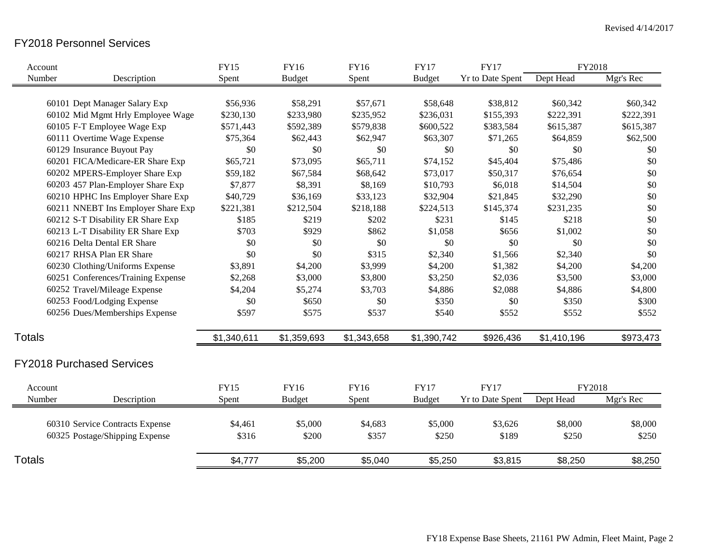## FY2018 Personnel Services

| Account       |                                    | <b>FY15</b> | <b>FY16</b>   | <b>FY16</b> | <b>FY17</b>   | <b>FY17</b>             | FY2018      |           |
|---------------|------------------------------------|-------------|---------------|-------------|---------------|-------------------------|-------------|-----------|
| Number        | Description                        | Spent       | <b>Budget</b> | Spent       | <b>Budget</b> | <b>Yr to Date Spent</b> | Dept Head   | Mgr's Rec |
|               |                                    |             |               |             |               |                         |             |           |
|               | 60101 Dept Manager Salary Exp      | \$56,936    | \$58,291      | \$57,671    | \$58,648      | \$38,812                | \$60,342    | \$60,342  |
|               | 60102 Mid Mgmt Hrly Employee Wage  | \$230,130   | \$233,980     | \$235,952   | \$236,031     | \$155,393               | \$222,391   | \$222,391 |
|               | 60105 F-T Employee Wage Exp        | \$571,443   | \$592,389     | \$579,838   | \$600,522     | \$383,584               | \$615,387   | \$615,387 |
|               | 60111 Overtime Wage Expense        | \$75,364    | \$62,443      | \$62,947    | \$63,307      | \$71,265                | \$64,859    | \$62,500  |
|               | 60129 Insurance Buyout Pay         | \$0         | \$0           | \$0         | \$0           | \$0                     | \$0         | \$0       |
|               | 60201 FICA/Medicare-ER Share Exp   | \$65,721    | \$73,095      | \$65,711    | \$74,152      | \$45,404                | \$75,486    | \$0       |
|               | 60202 MPERS-Employer Share Exp     | \$59,182    | \$67,584      | \$68,642    | \$73,017      | \$50,317                | \$76,654    | \$0       |
|               | 60203 457 Plan-Employer Share Exp  | \$7,877     | \$8,391       | \$8,169     | \$10,793      | \$6,018                 | \$14,504    | \$0       |
|               | 60210 HPHC Ins Employer Share Exp  | \$40,729    | \$36,169      | \$33,123    | \$32,904      | \$21,845                | \$32,290    | \$0       |
|               | 60211 NNEBT Ins Employer Share Exp | \$221,381   | \$212,504     | \$218,188   | \$224,513     | \$145,374               | \$231,235   | \$0       |
|               | 60212 S-T Disability ER Share Exp  | \$185       | \$219         | \$202       | \$231         | \$145                   | \$218       | \$0       |
|               | 60213 L-T Disability ER Share Exp  | \$703       | \$929         | \$862       | \$1,058       | \$656                   | \$1,002     | \$0       |
|               | 60216 Delta Dental ER Share        | \$0         | \$0           | \$0         | \$0           | \$0                     | \$0         | \$0       |
|               | 60217 RHSA Plan ER Share           | \$0         | \$0           | \$315       | \$2,340       | \$1,566                 | \$2,340     | \$0       |
|               | 60230 Clothing/Uniforms Expense    | \$3,891     | \$4,200       | \$3,999     | \$4,200       | \$1,382                 | \$4,200     | \$4,200   |
|               | 60251 Conferences/Training Expense | \$2,268     | \$3,000       | \$3,800     | \$3,250       | \$2,036                 | \$3,500     | \$3,000   |
|               | 60252 Travel/Mileage Expense       | \$4,204     | \$5,274       | \$3,703     | \$4,886       | \$2,088                 | \$4,886     | \$4,800   |
|               | 60253 Food/Lodging Expense         | \$0         | \$650         | \$0         | \$350         | \$0                     | \$350       | \$300     |
|               | 60256 Dues/Memberships Expense     | \$597       | \$575         | \$537       | \$540         | \$552                   | \$552       | \$552     |
| <b>Totals</b> |                                    | \$1,340,611 | \$1,359,693   | \$1,343,658 | \$1,390,742   | \$926,436               | \$1,410,196 | \$973,473 |
|               |                                    |             |               |             |               |                         |             |           |
|               | <b>FY2018 Purchased Services</b>   |             |               |             |               |                         |             |           |
| Account       |                                    | <b>FY15</b> | FY16          | FY16        | <b>FY17</b>   | <b>FY17</b>             | FY2018      |           |
| Number        | Description                        | Spent       | <b>Budget</b> | Spent       | <b>Budget</b> | <b>Yr to Date Spent</b> | Dept Head   | Mgr's Rec |
|               |                                    |             |               |             |               |                         |             |           |
|               | 60310 Service Contracts Expense    | \$4,461     | \$5,000       | \$4,683     | \$5,000       | \$3,626                 | \$8,000     | \$8,000   |
|               | 60325 Postage/Shipping Expense     | \$316       | \$200         | \$357       | \$250         | \$189                   | \$250       | \$250     |
| <b>Totals</b> |                                    | \$4,777     | \$5,200       | \$5,040     | \$5,250       | \$3,815                 | \$8,250     | \$8,250   |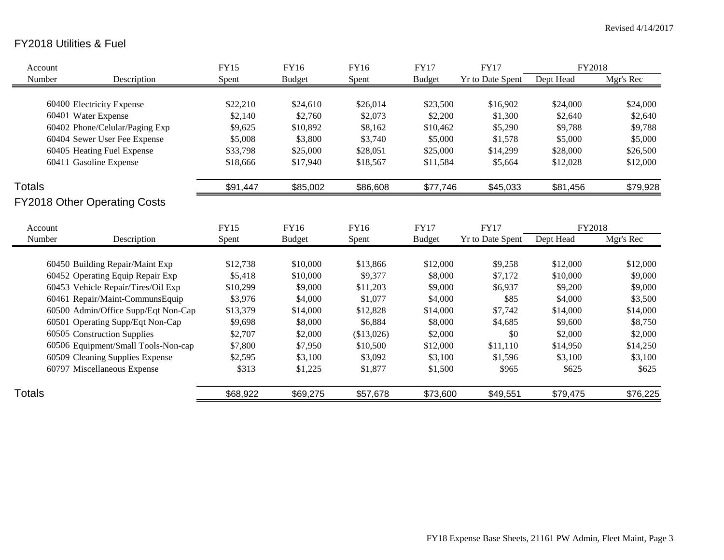## FY2018 Utilities & Fuel

| Account       |                                     | <b>FY15</b> | <b>FY16</b>   | <b>FY16</b> | <b>FY17</b>   | <b>FY17</b>             | FY2018    |           |
|---------------|-------------------------------------|-------------|---------------|-------------|---------------|-------------------------|-----------|-----------|
| Number        | Description                         | Spent       | <b>Budget</b> | Spent       | <b>Budget</b> | Yr to Date Spent        | Dept Head | Mgr's Rec |
|               |                                     |             |               |             |               |                         |           |           |
|               | 60400 Electricity Expense           | \$22,210    | \$24,610      | \$26,014    | \$23,500      | \$16,902                | \$24,000  | \$24,000  |
|               | 60401 Water Expense                 | \$2,140     | \$2,760       | \$2,073     | \$2,200       | \$1,300                 | \$2,640   | \$2,640   |
|               | 60402 Phone/Celular/Paging Exp      | \$9,625     | \$10,892      | \$8,162     | \$10,462      | \$5,290                 | \$9,788   | \$9,788   |
|               | 60404 Sewer User Fee Expense        | \$5,008     | \$3,800       | \$3,740     | \$5,000       | \$1,578                 | \$5,000   | \$5,000   |
|               | 60405 Heating Fuel Expense          | \$33,798    | \$25,000      | \$28,051    | \$25,000      | \$14,299                | \$28,000  | \$26,500  |
|               | 60411 Gasoline Expense              | \$18,666    | \$17,940      | \$18,567    | \$11,584      | \$5,664                 | \$12,028  | \$12,000  |
| <b>Totals</b> |                                     | \$91,447    | \$85,002      | \$86,608    | \$77,746      | \$45,033                | \$81,456  | \$79,928  |
|               | <b>FY2018 Other Operating Costs</b> |             |               |             |               |                         |           |           |
|               |                                     |             |               |             |               |                         |           |           |
| Account       |                                     | <b>FY15</b> | <b>FY16</b>   | FY16        | <b>FY17</b>   | <b>FY17</b>             | FY2018    |           |
| Number        | Description                         | Spent       | <b>Budget</b> | Spent       | <b>Budget</b> | <b>Yr to Date Spent</b> | Dept Head | Mgr's Rec |
|               |                                     |             |               |             |               |                         |           |           |
|               | 60450 Building Repair/Maint Exp     | \$12,738    | \$10,000      | \$13,866    | \$12,000      | \$9,258                 | \$12,000  | \$12,000  |
|               | 60452 Operating Equip Repair Exp    | \$5,418     | \$10,000      | \$9,377     | \$8,000       | \$7,172                 | \$10,000  | \$9,000   |
|               | 60453 Vehicle Repair/Tires/Oil Exp  | \$10,299    | \$9,000       | \$11,203    | \$9,000       | \$6,937                 | \$9,200   | \$9,000   |
|               | 60461 Repair/Maint-CommunsEquip     | \$3,976     | \$4,000       | \$1,077     | \$4,000       | \$85                    | \$4,000   | \$3,500   |
|               | 60500 Admin/Office Supp/Eqt Non-Cap | \$13,379    | \$14,000      | \$12,828    | \$14,000      | \$7,742                 | \$14,000  | \$14,000  |
|               | 60501 Operating Supp/Eqt Non-Cap    | \$9,698     | \$8,000       | \$6,884     | \$8,000       | \$4,685                 | \$9,600   | \$8,750   |
|               | 60505 Construction Supplies         | \$2,707     | \$2,000       | (\$13,026)  | \$2,000       | \$0                     | \$2,000   | \$2,000   |
|               | 60506 Equipment/Small Tools-Non-cap | \$7,800     | \$7,950       | \$10,500    | \$12,000      | \$11,110                | \$14,950  | \$14,250  |
|               | 60509 Cleaning Supplies Expense     | \$2,595     | \$3,100       | \$3,092     | \$3,100       | \$1,596                 | \$3,100   | \$3,100   |
|               | 60797 Miscellaneous Expense         | \$313       | \$1,225       | \$1,877     | \$1,500       | \$965                   | \$625     | \$625     |
|               |                                     |             |               |             |               |                         |           |           |
| <b>Totals</b> |                                     | \$68,922    | \$69,275      | \$57,678    | \$73,600      | \$49,551                | \$79,475  | \$76,225  |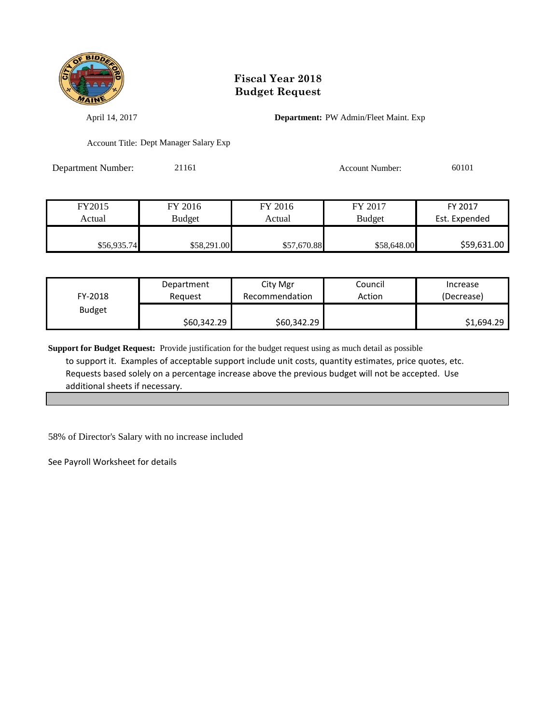

April 14, 2017 **Department:** PW Admin/Fleet Maint. Exp

Account Title: Dept Manager Salary Exp

Department Number: 21161 21161 Account Number: 60101

| FY2015      | FY 2016       | FY 2016     | FY 2017       | FY 2017       |
|-------------|---------------|-------------|---------------|---------------|
| Actual      | <b>Budget</b> | Actual      | <b>Budget</b> | Est. Expended |
|             |               |             |               |               |
| \$56,935.74 | \$58,291.00   | \$57,670.88 | \$58,648.00   | \$59,631.00   |

| FY-2018       | Department  | City Mgr       | Council | Increase   |
|---------------|-------------|----------------|---------|------------|
|               | Reauest     | Recommendation | Action  | (Decrease) |
| <b>Budget</b> | \$60,342.29 | \$60,342.29    |         | \$1,694.29 |

**Support for Budget Request:** Provide justification for the budget request using as much detail as possible to support it. Examples of acceptable support include unit costs, quantity estimates, price quotes, etc. Requests based solely on a percentage increase above the previous budget will not be accepted. Use additional sheets if necessary.

58% of Director's Salary with no increase included

See Payroll Worksheet for details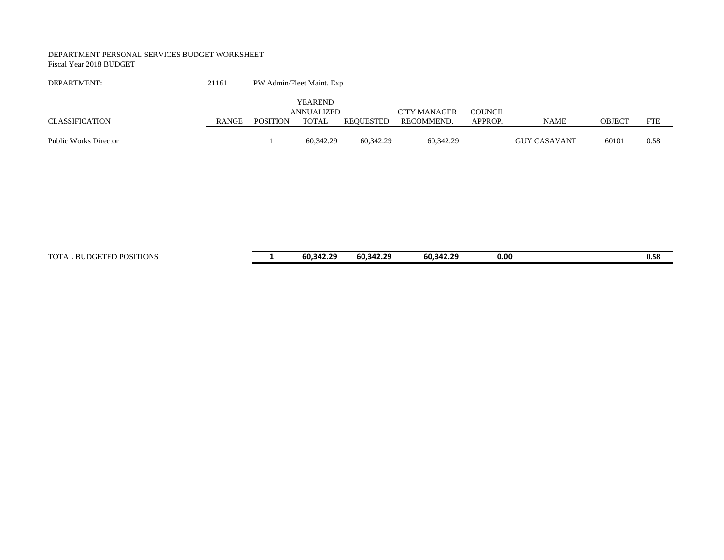#### DEPARTMENT PERSONAL SERVICES BUDGET WORKSHEET Fiscal Year 2018 BUDGET

| DEPARTMENT:           | 21161 | PW Admin/Fleet Maint. Exp |                              |           |                     |         |                     |        |            |
|-----------------------|-------|---------------------------|------------------------------|-----------|---------------------|---------|---------------------|--------|------------|
|                       |       |                           | <b>YEAREND</b><br>ANNUALIZED |           | <b>CITY MANAGER</b> | COUNCIL |                     |        |            |
| CLASSIFICATION        | RANGE | POSITION                  | TOTAL                        | REOUESTED | RECOMMEND.          | APPROP. | <b>NAME</b>         | OBJECT | <b>FTE</b> |
| Public Works Director |       |                           | 60.342.29                    | 60.342.29 | 60.342.29           |         | <b>GUY CASAVANT</b> | 60101  | 0.58       |

TOTAL BUDGETED POSITIONS **1 60,342.29 60,342.29 60,342.29 0.00 0.58**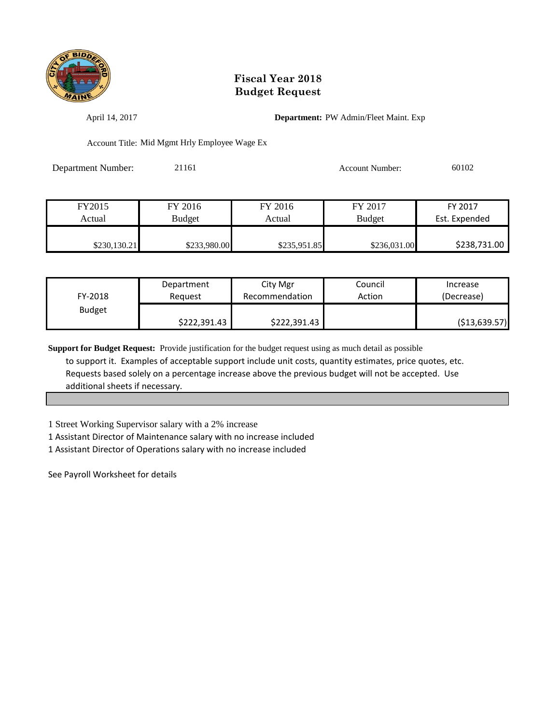

April 14, 2017 **Department:** PW Admin/Fleet Maint. Exp

Account Title: Mid Mgmt Hrly Employee Wage Ex

Department Number: 21161 21161 Account Number: 60102

| FY2015       | FY 2016      | FY 2016      | FY 2017       | FY 2017       |
|--------------|--------------|--------------|---------------|---------------|
| Actual       | Budget       | Actual       | <b>Budget</b> | Est. Expended |
|              |              |              |               |               |
| \$230,130.21 | \$233,980.00 | \$235,951.85 | \$236,031.00  | \$238,731.00  |

| FY-2018       | Department   | City Mgr       | Council | Increase       |
|---------------|--------------|----------------|---------|----------------|
|               | Reauest      | Recommendation | Action  | (Decrease)     |
| <b>Budget</b> | \$222,391.43 | \$222,391.43   |         | ( \$13,639.57) |

**Support for Budget Request:** Provide justification for the budget request using as much detail as possible to support it. Examples of acceptable support include unit costs, quantity estimates, price quotes, etc. Requests based solely on a percentage increase above the previous budget will not be accepted. Use additional sheets if necessary.

1 Street Working Supervisor salary with a 2% increase

1 Assistant Director of Maintenance salary with no increase included

1 Assistant Director of Operations salary with no increase included

See Payroll Worksheet for details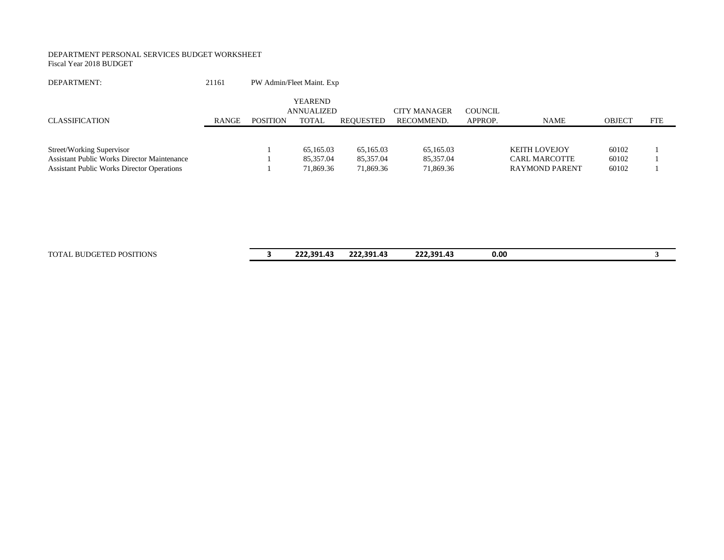#### DEPARTMENT PERSONAL SERVICES BUDGET WORKSHEET Fiscal Year 2018 BUDGET

| DEPARTMENT:                                                                     | 21161        | PW Admin/Fleet Maint. Exp |                                       |                        |                                   |                           |                                              |                |            |
|---------------------------------------------------------------------------------|--------------|---------------------------|---------------------------------------|------------------------|-----------------------------------|---------------------------|----------------------------------------------|----------------|------------|
| <b>CLASSIFICATION</b>                                                           | <b>RANGE</b> | <b>POSITION</b>           | YEAREND<br>ANNUALIZED<br><b>TOTAL</b> | REQUESTED              | <b>CITY MANAGER</b><br>RECOMMEND. | <b>COUNCIL</b><br>APPROP. | <b>NAME</b>                                  | <b>OBJECT</b>  | <b>FTE</b> |
| Street/Working Supervisor<br><b>Assistant Public Works Director Maintenance</b> |              |                           | 65,165.03<br>85,357.04                | 65,165.03<br>85,357.04 | 65.165.03<br>85.357.04            |                           | <b>KEITH LOVEJOY</b><br><b>CARL MARCOTTE</b> | 60102<br>60102 |            |
| <b>Assistant Public Works Director Operations</b>                               |              |                           | 71,869.36                             | 71,869.36              | 71,869.36                         |                           | <b>RAYMOND PARENT</b>                        | 60102          |            |

TOTAL BUDGETED POSITIONS **3 222,391.43 222,391.43 222,391.43 0.00 3**

| $\overline{\phantom{a}}$<br>- | 222,391.43 | 222,391.43 | 222,391.43 | 0.00 |  |
|-------------------------------|------------|------------|------------|------|--|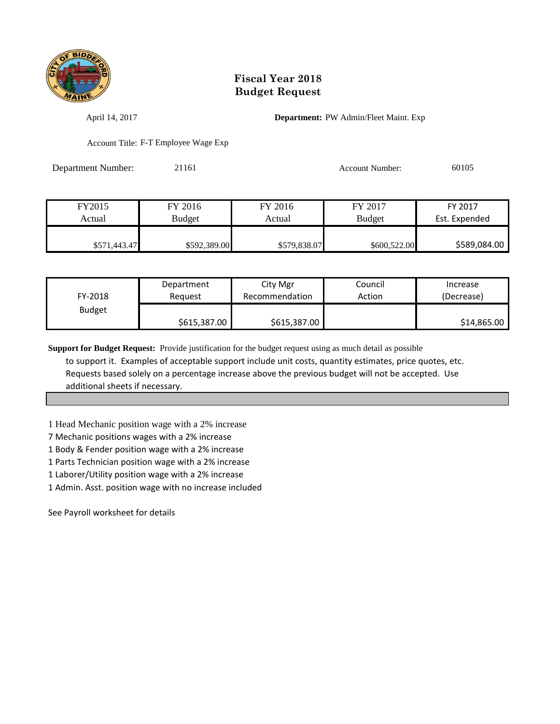

April 14, 2017 **Department:** PW Admin/Fleet Maint. Exp

Account Title: F-T Employee Wage Exp

Department Number: 21161 21161 Account Number: 60105

| FY2015       | FY 2016      | FY 2016      | FY 2017       | FY 2017       |
|--------------|--------------|--------------|---------------|---------------|
| Actual       | Budget       | Actual       | <b>Budget</b> | Est. Expended |
|              |              |              |               |               |
| \$571,443.47 | \$592,389.00 | \$579,838.07 | \$600,522.00  | \$589,084.00  |

| FY-2018       | Department   | City Mgr       | Council | Increase    |
|---------------|--------------|----------------|---------|-------------|
|               | Reauest      | Recommendation | Action  | (Decrease)  |
| <b>Budget</b> | \$615,387.00 | \$615,387.00   |         | \$14,865.00 |

**Support for Budget Request:** Provide justification for the budget request using as much detail as possible to support it. Examples of acceptable support include unit costs, quantity estimates, price quotes, etc. Requests based solely on a percentage increase above the previous budget will not be accepted. Use additional sheets if necessary.

1 Head Mechanic position wage with a 2% increase

7 Mechanic positions wages with a 2% increase

1 Body & Fender position wage with a 2% increase

1 Parts Technician position wage with a 2% increase

1 Laborer/Utility position wage with a 2% increase

1 Admin. Asst. position wage with no increase included

See Payroll worksheet for details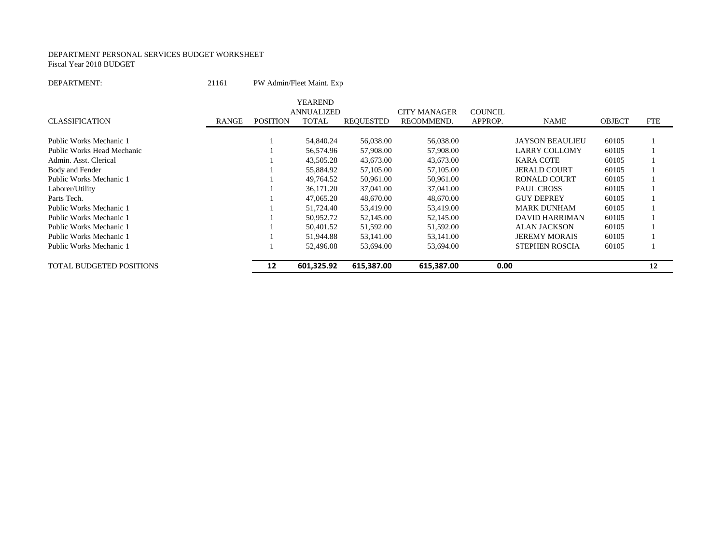#### DEPARTMENT PERSONAL SERVICES BUDGET WORKSHEET Fiscal Year 2018 BUDGET

DEPARTMENT: 21161 PW Admin/Fleet Maint. Exp

|                                 |       |                 | <b>YEAREND</b>    |                  |                     |                |                        |               |            |
|---------------------------------|-------|-----------------|-------------------|------------------|---------------------|----------------|------------------------|---------------|------------|
|                                 |       |                 | <b>ANNUALIZED</b> |                  | <b>CITY MANAGER</b> | <b>COUNCIL</b> |                        |               |            |
| <b>CLASSIFICATION</b>           | RANGE | <b>POSITION</b> | <b>TOTAL</b>      | <b>REQUESTED</b> | RECOMMEND.          | APPROP.        | <b>NAME</b>            | <b>OBJECT</b> | <b>FTE</b> |
|                                 |       |                 |                   |                  |                     |                |                        |               |            |
| Public Works Mechanic 1         |       |                 | 54,840.24         | 56,038.00        | 56,038.00           |                | <b>JAYSON BEAULIEU</b> | 60105         |            |
| Public Works Head Mechanic      |       |                 | 56,574.96         | 57,908.00        | 57,908.00           |                | LARRY COLLOMY          | 60105         |            |
| Admin. Asst. Clerical           |       |                 | 43,505.28         | 43,673.00        | 43,673.00           |                | KARA COTE              | 60105         |            |
| Body and Fender                 |       |                 | 55,884.92         | 57,105.00        | 57,105.00           |                | <b>JERALD COURT</b>    | 60105         |            |
| Public Works Mechanic 1         |       |                 | 49.764.52         | 50,961.00        | 50,961.00           |                | <b>RONALD COURT</b>    | 60105         |            |
| Laborer/Utility                 |       |                 | 36.171.20         | 37,041.00        | 37,041.00           |                | <b>PAUL CROSS</b>      | 60105         |            |
| Parts Tech.                     |       |                 | 47,065.20         | 48.670.00        | 48,670.00           |                | <b>GUY DEPREY</b>      | 60105         |            |
| Public Works Mechanic 1         |       |                 | 51,724.40         | 53,419.00        | 53,419.00           |                | <b>MARK DUNHAM</b>     | 60105         |            |
| Public Works Mechanic 1         |       |                 | 50,952.72         | 52,145.00        | 52,145.00           |                | DAVID HARRIMAN         | 60105         |            |
| Public Works Mechanic 1         |       |                 | 50,401.52         | 51,592.00        | 51,592.00           |                | <b>ALAN JACKSON</b>    | 60105         |            |
| Public Works Mechanic 1         |       |                 | 51,944.88         | 53,141.00        | 53,141.00           |                | <b>JEREMY MORAIS</b>   | 60105         |            |
| Public Works Mechanic 1         |       |                 | 52,496.08         | 53,694.00        | 53,694.00           |                | <b>STEPHEN ROSCIA</b>  | 60105         |            |
| <b>TOTAL BUDGETED POSITIONS</b> |       | 12              | 601,325.92        | 615,387.00       | 615,387.00          | 0.00           |                        |               | 12         |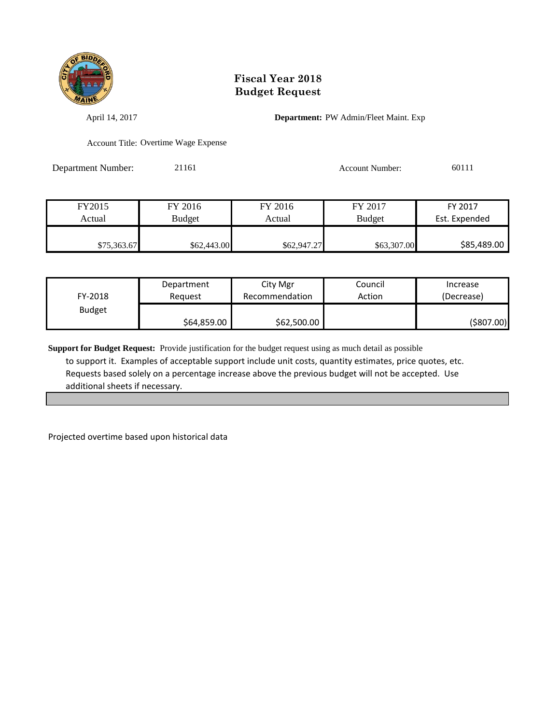

April 14, 2017 **Department:** PW Admin/Fleet Maint. Exp

Account Title: Overtime Wage Expense

Department Number: 21161 21161 Account Number: 60111

| FY2015      | FY 2016     | FY 2016     | FY 2017       | FY 2017       |
|-------------|-------------|-------------|---------------|---------------|
| Actual      | Budget      | Actual      | <b>Budget</b> | Est. Expended |
|             |             |             |               |               |
| \$75,363.67 | \$62,443.00 | \$62,947.27 | \$63,307.00   | \$85,489.00   |

| FY-2018       | Department  | City Mgr       | Council | Increase   |
|---------------|-------------|----------------|---------|------------|
|               | Reauest     | Recommendation | Action  | (Decrease) |
| <b>Budget</b> | \$64,859.00 | \$62,500.00    |         | (\$807.00) |

**Support for Budget Request:** Provide justification for the budget request using as much detail as possible to support it. Examples of acceptable support include unit costs, quantity estimates, price quotes, etc. Requests based solely on a percentage increase above the previous budget will not be accepted. Use additional sheets if necessary.

Projected overtime based upon historical data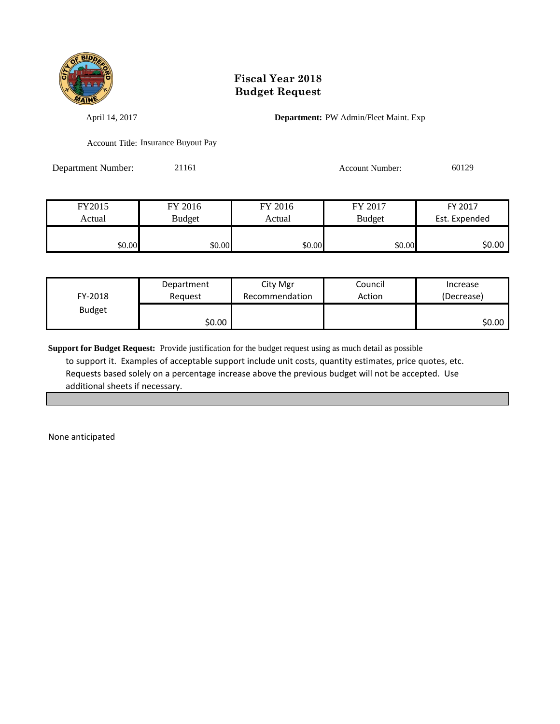

April 14, 2017 **Department:** PW Admin/Fleet Maint. Exp

Account Title: Insurance Buyout Pay

Department Number: 21161 21161 Account Number: 60129

| FY2015 | FY 2016       | FY 2016 | FY 2017       | FY 2017       |
|--------|---------------|---------|---------------|---------------|
| Actual | <b>Budget</b> | Actual  | <b>Budget</b> | Est. Expended |
|        |               |         |               |               |
| \$0.00 | \$0.00        | \$0.00  | \$0.00        | \$0.00        |

| FY-2018       | Department | City Mgr       | Council | Increase   |
|---------------|------------|----------------|---------|------------|
|               | Reauest    | Recommendation | Action  | (Decrease) |
| <b>Budget</b> | \$0.00     |                |         | \$0.00     |

**Support for Budget Request:** Provide justification for the budget request using as much detail as possible to support it. Examples of acceptable support include unit costs, quantity estimates, price quotes, etc. Requests based solely on a percentage increase above the previous budget will not be accepted. Use additional sheets if necessary.

None anticipated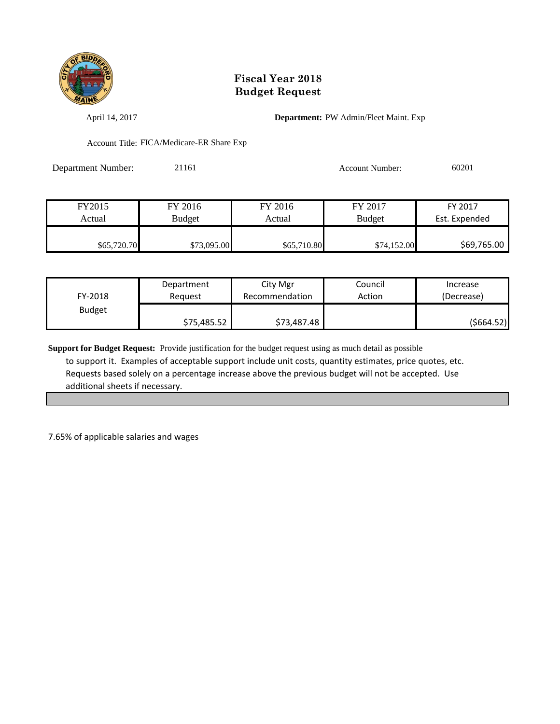

April 14, 2017 **Department:** PW Admin/Fleet Maint. Exp

Account Title: FICA/Medicare-ER Share Exp

| <b>Department Number:</b> | 21161 | <b>Account Number:</b> | 60201 |
|---------------------------|-------|------------------------|-------|
|                           |       |                        |       |

| FY2015      | FY 2016     | FY 2016     | FY 2017       | FY 2017       |
|-------------|-------------|-------------|---------------|---------------|
| Actual      | Budget      | Actual      | <b>Budget</b> | Est. Expended |
|             |             |             |               |               |
| \$65,720.70 | \$73,095.00 | \$65,710.80 | \$74,152.00   | \$69,765.00   |

| FY-2018       | Department  | City Mgr       | Council | Increase   |
|---------------|-------------|----------------|---------|------------|
|               | Reauest     | Recommendation | Action  | (Decrease) |
| <b>Budget</b> | \$75,485.52 | \$73,487.48    |         | (\$664.52) |

**Support for Budget Request:** Provide justification for the budget request using as much detail as possible to support it. Examples of acceptable support include unit costs, quantity estimates, price quotes, etc. Requests based solely on a percentage increase above the previous budget will not be accepted. Use additional sheets if necessary.

7.65% of applicable salaries and wages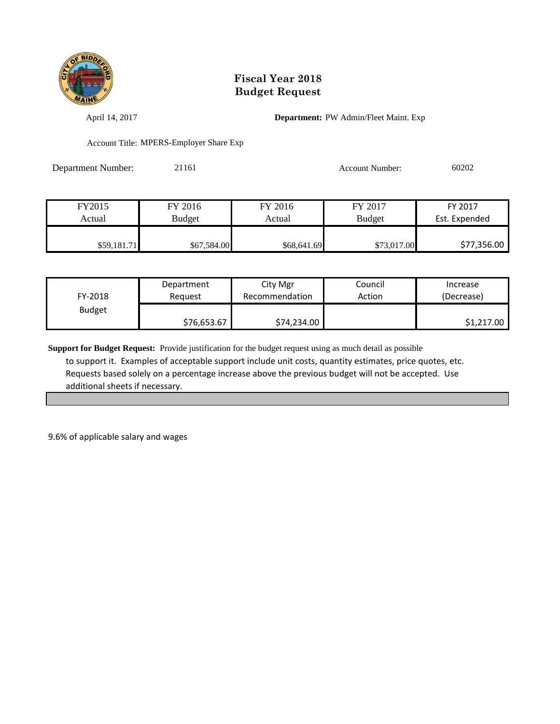

April 14, 2017 **Department:** PW Admin/Fleet Maint. Exp

Account Title: MPERS-Employer Share Exp

| Department Number: | 21161 | Account Number: | 60202 |
|--------------------|-------|-----------------|-------|
|                    |       |                 |       |

| FY2015      | FY 2016       | FY 2016     | FY 2017       | FY 2017       |
|-------------|---------------|-------------|---------------|---------------|
| Actual      | <b>Budget</b> | Actual      | <b>Budget</b> | Est. Expended |
|             |               |             |               |               |
| \$59,181.71 | \$67,584.00   | \$68,641.69 | \$73,017.00   | \$77,356.00   |

| FY-2018       | Department  | City Mgr       | Council | Increase   |
|---------------|-------------|----------------|---------|------------|
|               | Reauest     | Recommendation | Action  | (Decrease) |
| <b>Budget</b> | \$76,653.67 | \$74,234.00    |         | \$1,217.00 |

**Support for Budget Request:** Provide justification for the budget request using as much detail as possible to support it. Examples of acceptable support include unit costs, quantity estimates, price quotes, etc. Requests based solely on a percentage increase above the previous budget will not be accepted. Use additional sheets if necessary.

9.6% of applicable salary and wages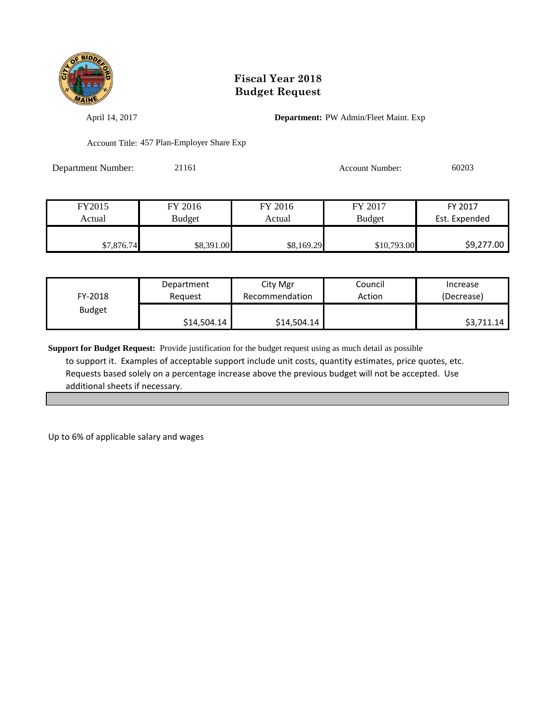

April 14, 2017 **Department:** PW Admin/Fleet Maint. Exp

Account Title: 457 Plan-Employer Share Exp

| Department Number: | 21161 | <b>Account Number:</b> | 60203 |
|--------------------|-------|------------------------|-------|
|                    |       |                        |       |

| FY2015     | FY 2016    | FY 2016    | FY 2017       | FY 2017       |
|------------|------------|------------|---------------|---------------|
| Actual     | Budget     | Actual     | <b>Budget</b> | Est. Expended |
|            |            |            |               |               |
| \$7,876.74 | \$8,391.00 | \$8,169.29 | \$10,793.00   | \$9,277.00    |

| FY-2018       | Department  | City Mgr       | Council | Increase   |
|---------------|-------------|----------------|---------|------------|
|               | Reauest     | Recommendation | Action  | (Decrease) |
| <b>Budget</b> | \$14,504.14 | \$14,504.14    |         | \$3,711.14 |

**Support for Budget Request:** Provide justification for the budget request using as much detail as possible to support it. Examples of acceptable support include unit costs, quantity estimates, price quotes, etc. Requests based solely on a percentage increase above the previous budget will not be accepted. Use additional sheets if necessary.

Up to 6% of applicable salary and wages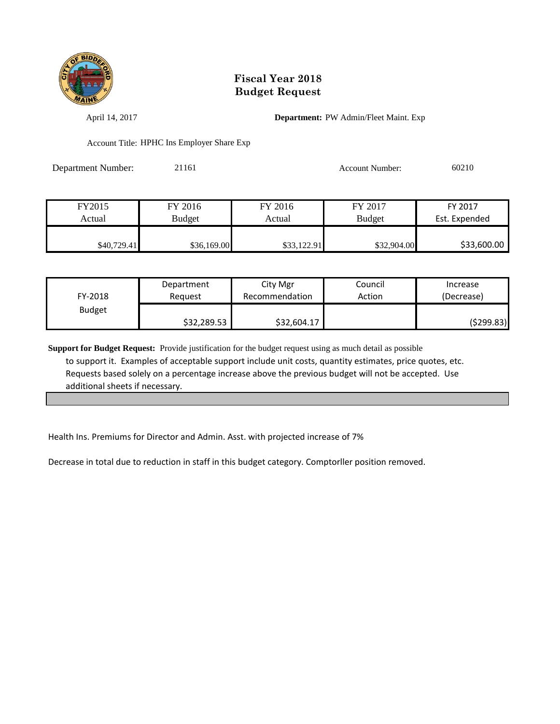

April 14, 2017 **Department:** PW Admin/Fleet Maint. Exp

Account Title: HPHC Ins Employer Share Exp

| <b>Department Number:</b> | 21161 | Account Number: | 60210 |
|---------------------------|-------|-----------------|-------|
|                           |       |                 |       |

| FY2015      | FY 2016       | FY 2016     | FY 2017       | FY 2017       |
|-------------|---------------|-------------|---------------|---------------|
| Actual      | <b>Budget</b> | Actual      | <b>Budget</b> | Est. Expended |
|             |               |             |               |               |
| \$40.729.41 | \$36,169.00   | \$33,122.91 | \$32,904.00   | \$33,600.00   |

| FY-2018       | Department  | City Mgr       | Council | Increase   |
|---------------|-------------|----------------|---------|------------|
|               | Reauest     | Recommendation | Action  | (Decrease) |
| <b>Budget</b> | \$32,289.53 | \$32,604.17    |         | (\$299.83) |

**Support for Budget Request:** Provide justification for the budget request using as much detail as possible to support it. Examples of acceptable support include unit costs, quantity estimates, price quotes, etc. Requests based solely on a percentage increase above the previous budget will not be accepted. Use additional sheets if necessary.

Health Ins. Premiums for Director and Admin. Asst. with projected increase of 7%

Decrease in total due to reduction in staff in this budget category. Comptorller position removed.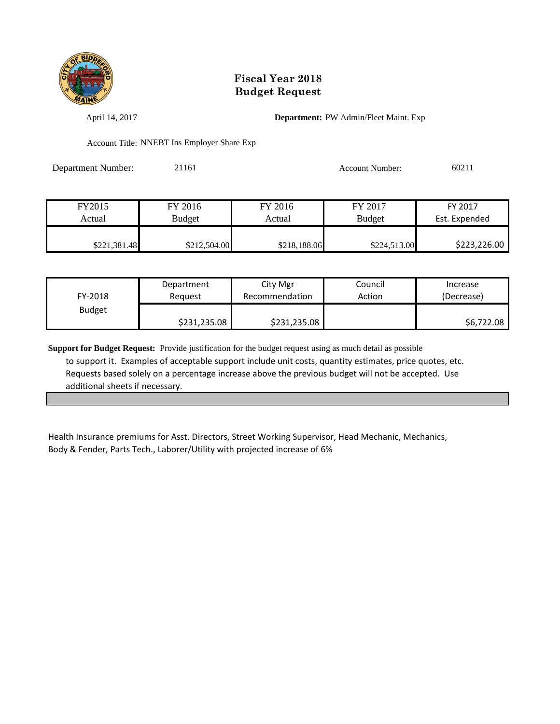

April 14, 2017 **Department:** PW Admin/Fleet Maint. Exp

Account Title: NNEBT Ins Employer Share Exp

| <b>Department Number:</b> | 21161 | Account Number: | 60211 |
|---------------------------|-------|-----------------|-------|
|                           |       |                 |       |

| FY2015       | FY 2016       | FY 2016      | FY 2017       | FY 2017       |
|--------------|---------------|--------------|---------------|---------------|
| Actual       | <b>Budget</b> | Actual       | <b>Budget</b> | Est. Expended |
|              |               |              |               |               |
| \$221,381.48 | \$212,504.00  | \$218,188.06 | \$224,513.00  | \$223,226.00  |

| FY-2018       | Department   | City Mgr       | Council | Increase   |
|---------------|--------------|----------------|---------|------------|
|               | Reguest      | Recommendation | Action  | (Decrease) |
| <b>Budget</b> | \$231,235.08 | \$231,235.08   |         | \$6,722.08 |

**Support for Budget Request:** Provide justification for the budget request using as much detail as possible to support it. Examples of acceptable support include unit costs, quantity estimates, price quotes, etc. Requests based solely on a percentage increase above the previous budget will not be accepted. Use additional sheets if necessary.

Health Insurance premiums for Asst. Directors, Street Working Supervisor, Head Mechanic, Mechanics, Body & Fender, Parts Tech., Laborer/Utility with projected increase of 6%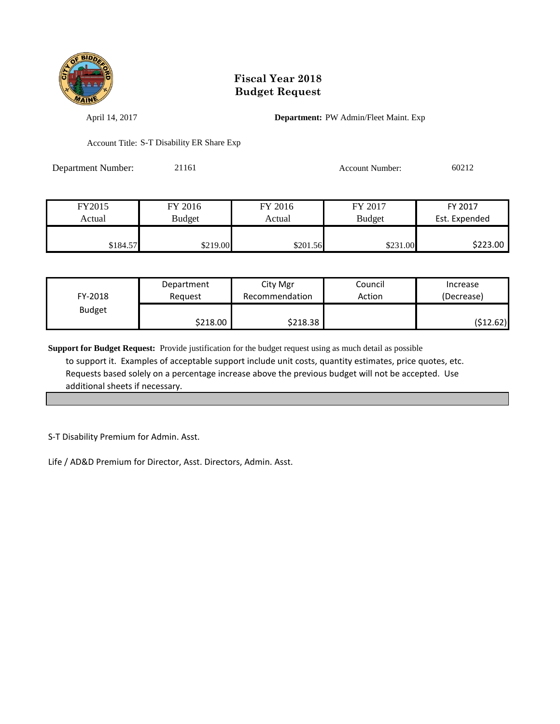

April 14, 2017 **Department:** PW Admin/Fleet Maint. Exp

Account Title: S-T Disability ER Share Exp

| <b>Department Number:</b> | 21161 | <b>Account Number:</b> | 60212 |
|---------------------------|-------|------------------------|-------|
|                           |       |                        |       |

| FY2015   | FY 2016       | FY 2016  | FY 2017       | FY 2017       |
|----------|---------------|----------|---------------|---------------|
| Actual   | <b>Budget</b> | Actual   | <b>Budget</b> | Est. Expended |
|          |               |          |               |               |
| \$184.57 | \$219.00      | \$201.56 | \$231.00      | \$223.00      |

| FY-2018       | Department | City Mgr       | Council | Increase   |
|---------------|------------|----------------|---------|------------|
|               | Reguest    | Recommendation | Action  | (Decrease) |
| <b>Budget</b> | \$218.00   | \$218.38       |         | (\$12.62)  |

**Support for Budget Request:** Provide justification for the budget request using as much detail as possible to support it. Examples of acceptable support include unit costs, quantity estimates, price quotes, etc. Requests based solely on a percentage increase above the previous budget will not be accepted. Use additional sheets if necessary.

S-T Disability Premium for Admin. Asst.

Life / AD&D Premium for Director, Asst. Directors, Admin. Asst.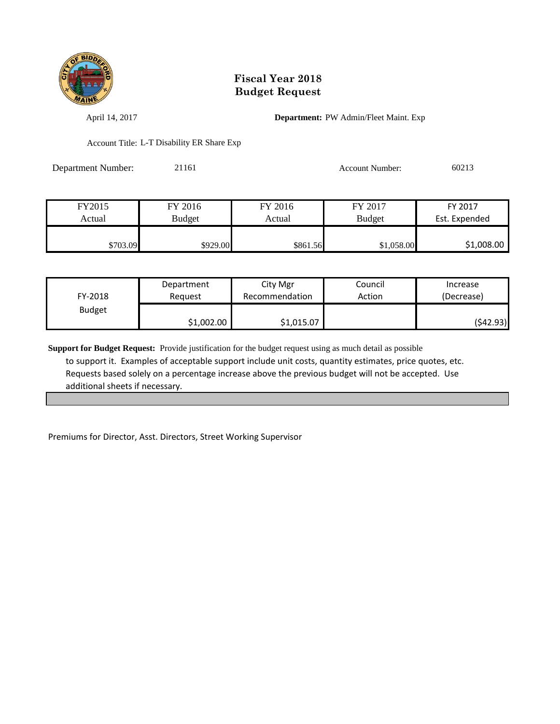

April 14, 2017 **Department:** PW Admin/Fleet Maint. Exp

Account Title: L-T Disability ER Share Exp

Department Number: 21161 Account Number: 60213

| FY2015   | FY 2016       | FY 2016  | FY 2017       | FY 2017       |
|----------|---------------|----------|---------------|---------------|
| Actual   | <b>Budget</b> | Actual   | <b>Budget</b> | Est. Expended |
|          |               |          |               |               |
| \$703.09 | \$929.00      | \$861.56 | \$1,058.00    | \$1,008.00    |

| FY-2018       | Department | City Mgr       | Council | Increase   |
|---------------|------------|----------------|---------|------------|
|               | Reauest    | Recommendation | Action  | (Decrease) |
| <b>Budget</b> | \$1,002.00 | \$1,015.07     |         | (\$42.93)  |

**Support for Budget Request:** Provide justification for the budget request using as much detail as possible to support it. Examples of acceptable support include unit costs, quantity estimates, price quotes, etc. Requests based solely on a percentage increase above the previous budget will not be accepted. Use additional sheets if necessary.

Premiums for Director, Asst. Directors, Street Working Supervisor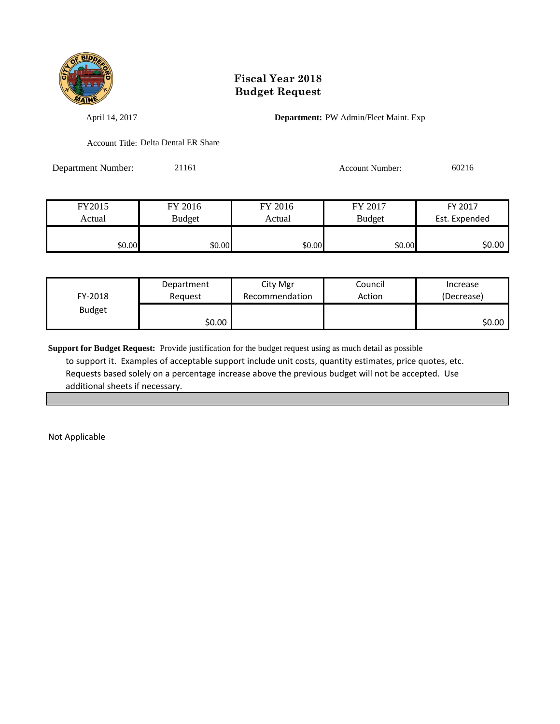

April 14, 2017 **Department:** PW Admin/Fleet Maint. Exp

Account Title: Delta Dental ER Share

Department Number: 21161 Account Number: 60216

| FY2015 | FY 2016       | FY 2016 | FY 2017       | FY 2017       |
|--------|---------------|---------|---------------|---------------|
| Actual | <b>Budget</b> | Actual  | <b>Budget</b> | Est. Expended |
|        |               |         |               |               |
| \$0.00 | \$0.00        | \$0.00  | \$0.00        | \$0.00        |

| FY-2018       | Department | City Mgr       | Council | Increase   |
|---------------|------------|----------------|---------|------------|
|               | Reauest    | Recommendation | Action  | (Decrease) |
| <b>Budget</b> | \$0.00∣    |                |         | \$0.00∣    |

**Support for Budget Request:** Provide justification for the budget request using as much detail as possible to support it. Examples of acceptable support include unit costs, quantity estimates, price quotes, etc. Requests based solely on a percentage increase above the previous budget will not be accepted. Use additional sheets if necessary.

Not Applicable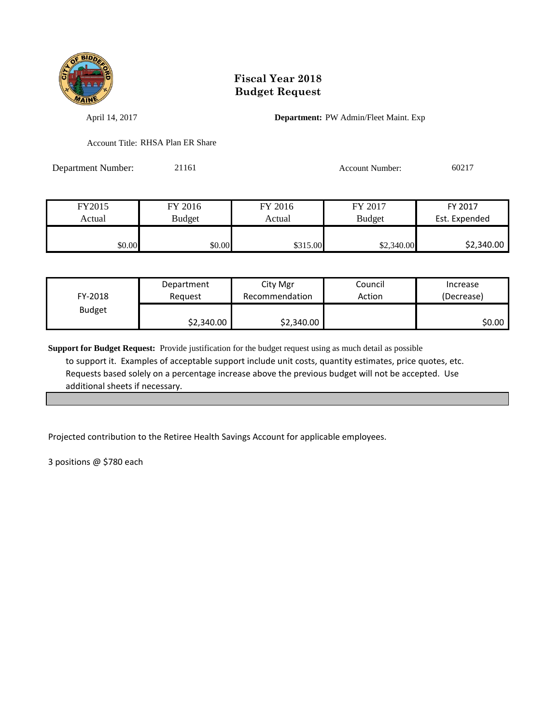

April 14, 2017 **Department:** PW Admin/Fleet Maint. Exp

Account Title: RHSA Plan ER Share

Department Number: 21161 Account Number: 60217

| FY2015 | FY 2016 | FY 2016  | FY 2017       | FY 2017       |
|--------|---------|----------|---------------|---------------|
| Actual | Budget  | Actual   | <b>Budget</b> | Est. Expended |
|        |         |          |               |               |
| \$0.00 | \$0.00  | \$315.00 | \$2,340.00    | \$2,340.00    |

| FY-2018       | Department | City Mgr       | Council | Increase   |
|---------------|------------|----------------|---------|------------|
|               | Reauest    | Recommendation | Action  | (Decrease) |
| <b>Budget</b> | \$2,340.00 | \$2,340.00     |         | \$0.00     |

**Support for Budget Request:** Provide justification for the budget request using as much detail as possible to support it. Examples of acceptable support include unit costs, quantity estimates, price quotes, etc. Requests based solely on a percentage increase above the previous budget will not be accepted. Use additional sheets if necessary.

Projected contribution to the Retiree Health Savings Account for applicable employees.

3 positions @ \$780 each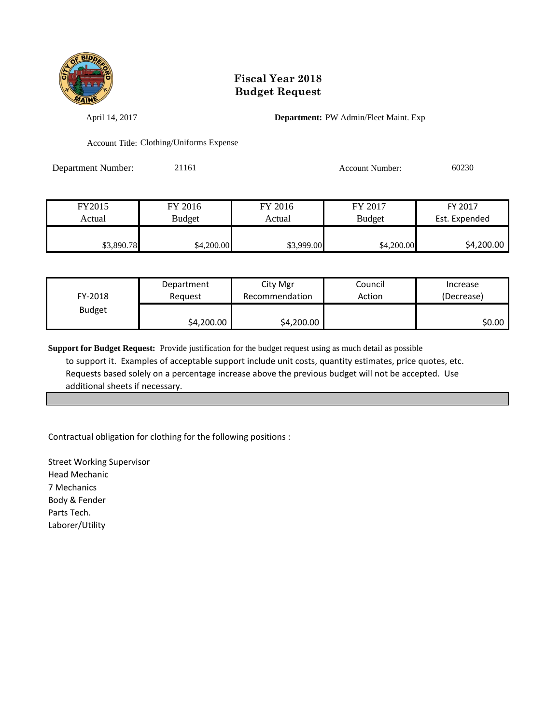

April 14, 2017 **Department:** PW Admin/Fleet Maint. Exp

Account Title: Clothing/Uniforms Expense

Department Number: 21161 21161 Account Number: 60230

| FY2015     | FY 2016    | FY 2016    | FY 2017       | FY 2017       |
|------------|------------|------------|---------------|---------------|
| Actual     | Budget     | Actual     | <b>Budget</b> | Est. Expended |
|            |            |            |               |               |
| \$3,890.78 | \$4,200.00 | \$3,999.00 | \$4,200.00    | \$4,200.00    |

| FY-2018       | Department | City Mgr       | Council | Increase   |
|---------------|------------|----------------|---------|------------|
|               | Reauest    | Recommendation | Action  | (Decrease) |
| <b>Budget</b> | \$4,200.00 | \$4,200.00     |         | SO.OO I    |

**Support for Budget Request:** Provide justification for the budget request using as much detail as possible to support it. Examples of acceptable support include unit costs, quantity estimates, price quotes, etc. Requests based solely on a percentage increase above the previous budget will not be accepted. Use additional sheets if necessary.

Contractual obligation for clothing for the following positions :

Street Working Supervisor Head Mechanic 7 Mechanics Body & Fender Parts Tech. Laborer/Utility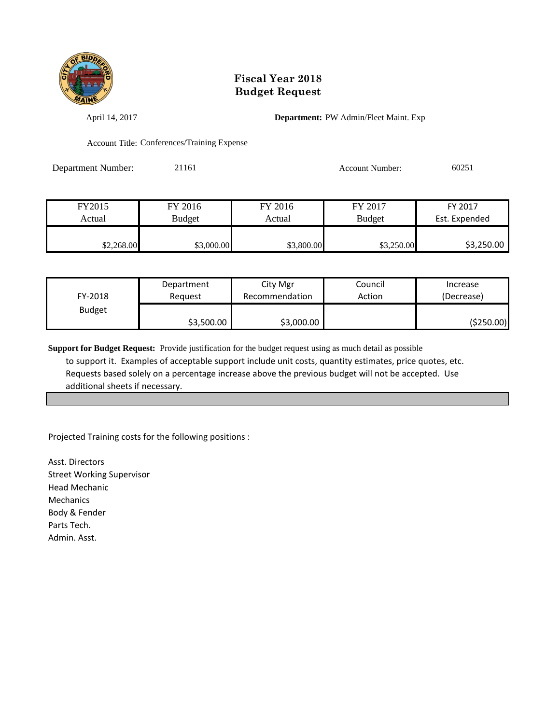

April 14, 2017 **Department:** PW Admin/Fleet Maint. Exp

Account Title: Conferences/Training Expense

Department Number: 21161 21161 Account Number: 60251

| FY2015     | FY 2016    | FY 2016    | FY 2017       | FY 2017       |
|------------|------------|------------|---------------|---------------|
| Actual     | Budget     | Actual     | <b>Budget</b> | Est. Expended |
|            |            |            |               |               |
| \$2,268.00 | \$3,000.00 | \$3,800.00 | \$3,250.00    | \$3,250.00    |

| FY-2018       | Department | City Mgr       | Council | Increase   |
|---------------|------------|----------------|---------|------------|
|               | Reauest    | Recommendation | Action  | (Decrease) |
| <b>Budget</b> | \$3,500.00 | \$3,000.00     |         | (\$250.00) |

**Support for Budget Request:** Provide justification for the budget request using as much detail as possible to support it. Examples of acceptable support include unit costs, quantity estimates, price quotes, etc. Requests based solely on a percentage increase above the previous budget will not be accepted. Use additional sheets if necessary.

Projected Training costs for the following positions :

Asst. Directors Street Working Supervisor Head Mechanic Mechanics Body & Fender Parts Tech. Admin. Asst.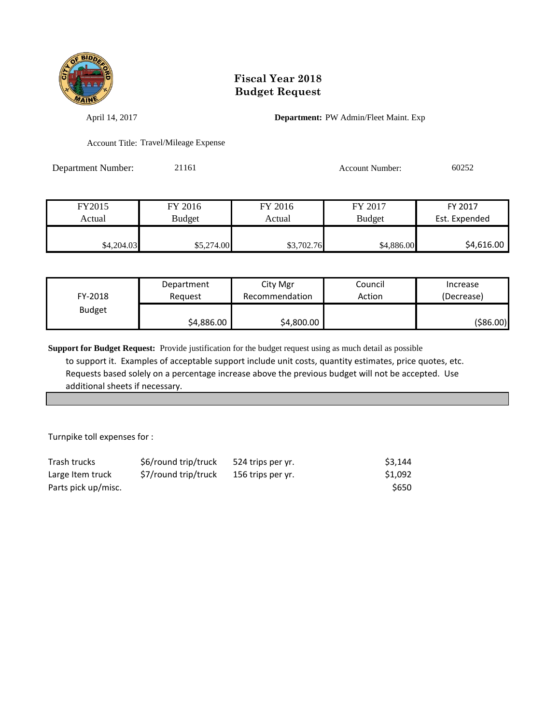

April 14, 2017 **Department:** PW Admin/Fleet Maint. Exp

Account Title: Travel/Mileage Expense

Department Number: 21161 Account Number: 60252

| FY2015     | FY 2016       | FY 2016    | FY 2017       | FY 2017       |
|------------|---------------|------------|---------------|---------------|
| Actual     | <b>Budget</b> | Actual     | <b>Budget</b> | Est. Expended |
|            |               |            |               |               |
| \$4,204.03 | \$5,274.00    | \$3,702.76 | \$4,886.00    | \$4,616.00    |

| FY-2018       | Department | City Mgr       | Council | Increase   |
|---------------|------------|----------------|---------|------------|
|               | Reauest    | Recommendation | Action  | (Decrease) |
| <b>Budget</b> | \$4,886.00 | \$4,800.00     |         | ( \$86.00) |

**Support for Budget Request:** Provide justification for the budget request using as much detail as possible to support it. Examples of acceptable support include unit costs, quantity estimates, price quotes, etc. Requests based solely on a percentage increase above the previous budget will not be accepted. Use additional sheets if necessary.

Turnpike toll expenses for :

| Trash trucks        | \$6/round trip/truck | 524 trips per yr. | \$3,144 |
|---------------------|----------------------|-------------------|---------|
| Large Item truck    | \$7/round trip/truck | 156 trips per yr. | \$1,092 |
| Parts pick up/misc. |                      |                   | \$650   |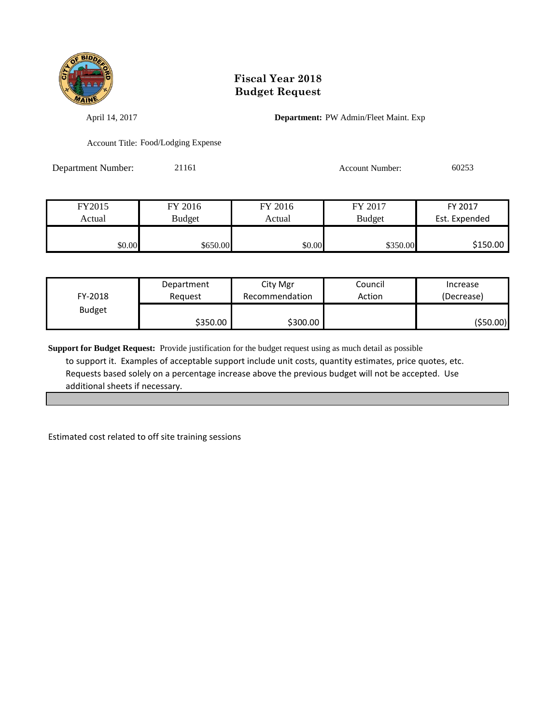

April 14, 2017 **Department:** PW Admin/Fleet Maint. Exp

Account Title: Food/Lodging Expense

Department Number: 21161 Account Number: 60253

| FY2015 | FY 2016  | FY 2016 | FY 2017       | FY 2017       |
|--------|----------|---------|---------------|---------------|
| Actual | Budget   | Actual  | <b>Budget</b> | Est. Expended |
|        |          |         |               |               |
| \$0.00 | \$650.00 | \$0.00  | \$350.00      | \$150.00      |

| FY-2018       | Department | City Mgr       | Council | Increase   |
|---------------|------------|----------------|---------|------------|
|               | Reauest    | Recommendation | Action  | (Decrease) |
| <b>Budget</b> | \$350.00   | \$300.00       |         | (\$50.00)  |

**Support for Budget Request:** Provide justification for the budget request using as much detail as possible to support it. Examples of acceptable support include unit costs, quantity estimates, price quotes, etc. Requests based solely on a percentage increase above the previous budget will not be accepted. Use additional sheets if necessary.

Estimated cost related to off site training sessions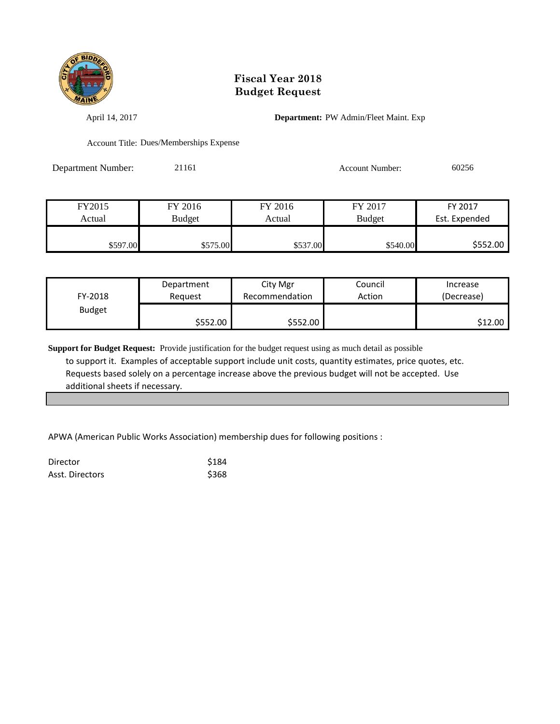

April 14, 2017 **Department:** PW Admin/Fleet Maint. Exp

Account Title: Dues/Memberships Expense

Department Number: 21161 Account Number: 60256

| FY2015   | FY 2016       | FY 2016  | FY 2017       | FY 2017       |
|----------|---------------|----------|---------------|---------------|
| Actual   | <b>Budget</b> | Actual   | <b>Budget</b> | Est. Expended |
|          |               |          |               |               |
| \$597.00 | \$575.00      | \$537.00 | \$540.00      | \$552.00      |

| FY-2018       | Department | City Mgr       | Council | Increase   |
|---------------|------------|----------------|---------|------------|
|               | Reguest    | Recommendation | Action  | (Decrease) |
| <b>Budget</b> | \$552.00 l | \$552.00       |         | \$12.00    |

**Support for Budget Request:** Provide justification for the budget request using as much detail as possible to support it. Examples of acceptable support include unit costs, quantity estimates, price quotes, etc. Requests based solely on a percentage increase above the previous budget will not be accepted. Use additional sheets if necessary.

APWA (American Public Works Association) membership dues for following positions :

| Director        | \$184 |
|-----------------|-------|
| Asst. Directors | \$368 |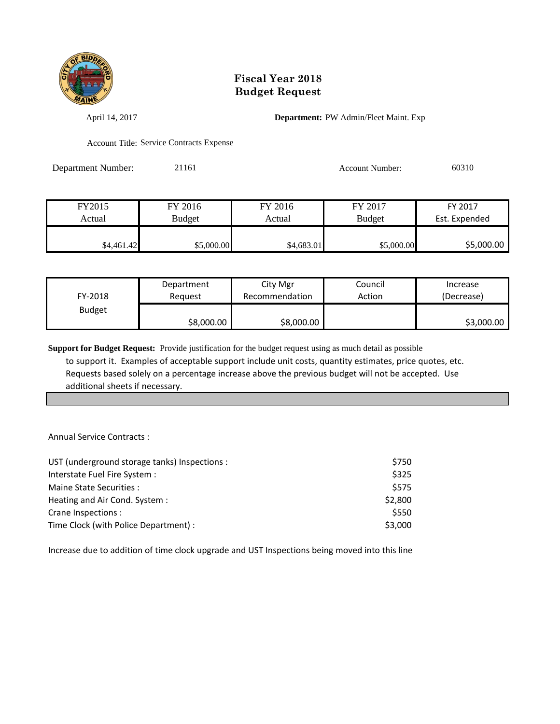

April 14, 2017 **Department:** PW Admin/Fleet Maint. Exp

Account Title: Service Contracts Expense

Department Number: 21161 21161 Account Number: 60310

| FY2015     | FY 2016    | FY 2016    | FY 2017       | FY 2017       |
|------------|------------|------------|---------------|---------------|
| Actual     | Budget     | Actual     | <b>Budget</b> | Est. Expended |
|            |            |            |               |               |
| \$4,461.42 | \$5,000.00 | \$4,683.01 | \$5,000.00    | \$5,000.00    |

| FY-2018       | Department | City Mgr       | Council | Increase   |
|---------------|------------|----------------|---------|------------|
|               | Reauest    | Recommendation | Action  | (Decrease) |
| <b>Budget</b> | \$8,000.00 | \$8,000.00     |         | \$3,000.00 |

**Support for Budget Request:** Provide justification for the budget request using as much detail as possible to support it. Examples of acceptable support include unit costs, quantity estimates, price quotes, etc. Requests based solely on a percentage increase above the previous budget will not be accepted. Use additional sheets if necessary.

Annual Service Contracts :

| UST (underground storage tanks) Inspections : | \$750   |
|-----------------------------------------------|---------|
| Interstate Fuel Fire System :                 | \$325   |
| Maine State Securities:                       | \$575   |
| Heating and Air Cond. System:                 | \$2,800 |
| Crane Inspections :                           | \$550   |
| Time Clock (with Police Department) :         | \$3,000 |

Increase due to addition of time clock upgrade and UST Inspections being moved into this line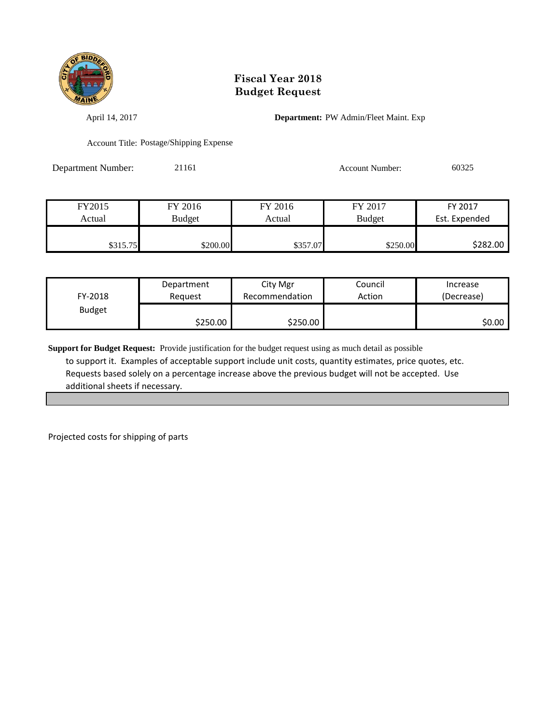

April 14, 2017 **Department:** PW Admin/Fleet Maint. Exp

Account Title: Postage/Shipping Expense

Department Number: 21161 21161 Account Number: 60325

| FY2015   | FY 2016       | FY 2016  | FY 2017       | FY 2017       |
|----------|---------------|----------|---------------|---------------|
| Actual   | <b>Budget</b> | Actual   | <b>Budget</b> | Est. Expended |
|          |               |          |               |               |
| \$315.75 | \$200.00      | \$357.07 | \$250.00      | \$282.00      |

| FY-2018       | Department | City Mgr       | Council | Increase   |
|---------------|------------|----------------|---------|------------|
|               | Reguest    | Recommendation | Action  | (Decrease) |
| <b>Budget</b> | \$250.00   | \$250.00       |         | \$0.00     |

**Support for Budget Request:** Provide justification for the budget request using as much detail as possible to support it. Examples of acceptable support include unit costs, quantity estimates, price quotes, etc. Requests based solely on a percentage increase above the previous budget will not be accepted. Use additional sheets if necessary.

Projected costs for shipping of parts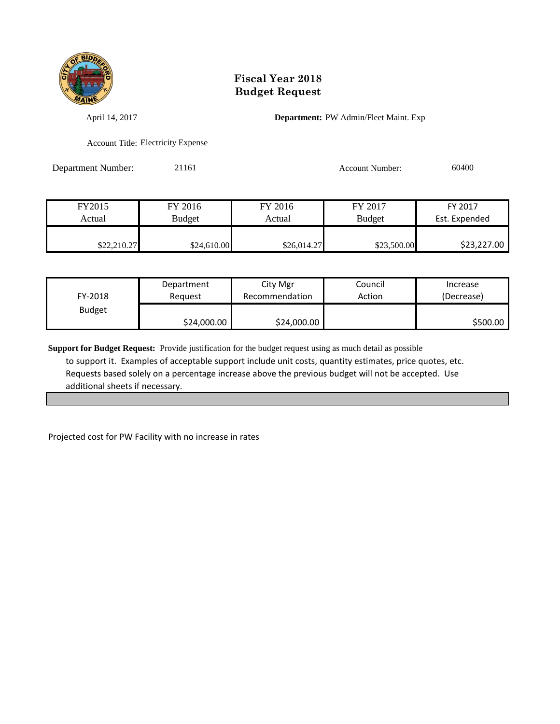

April 14, 2017 **Department:** PW Admin/Fleet Maint. Exp

Account Title: Electricity Expense

Department Number: 21161 21161 Account Number: 60400

| FY2015      | FY 2016     | FY 2016     | FY 2017       | FY 2017       |
|-------------|-------------|-------------|---------------|---------------|
| Actual      | Budget      | Actual      | <b>Budget</b> | Est. Expended |
|             |             |             |               |               |
| \$22,210.27 | \$24,610.00 | \$26,014.27 | \$23,500.00   | \$23,227.00   |

| FY-2018       | Department  | City Mgr       | Council | Increase   |
|---------------|-------------|----------------|---------|------------|
|               | Reauest     | Recommendation | Action  | (Decrease) |
| <b>Budget</b> | \$24,000.00 | \$24,000.00    |         | \$500.00   |

**Support for Budget Request:** Provide justification for the budget request using as much detail as possible to support it. Examples of acceptable support include unit costs, quantity estimates, price quotes, etc. Requests based solely on a percentage increase above the previous budget will not be accepted. Use additional sheets if necessary.

Projected cost for PW Facility with no increase in rates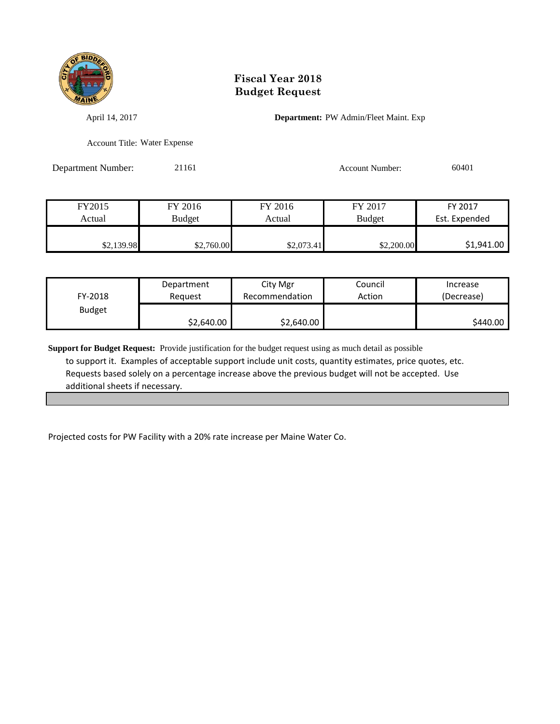

April 14, 2017 **Department:** PW Admin/Fleet Maint. Exp

Account Title: Water Expense

Department Number: 21161 21161 Account Number: 60401

| FY2015     | FY 2016       | FY 2016    | FY 2017       | FY 2017       |
|------------|---------------|------------|---------------|---------------|
| Actual     | <b>Budget</b> | Actual     | <b>Budget</b> | Est. Expended |
| \$2,139.98 | \$2,760.00    | \$2,073.41 | \$2,200.00    | \$1,941.00    |

| FY-2018       | Department | City Mgr       | Council | Increase   |
|---------------|------------|----------------|---------|------------|
|               | Reauest    | Recommendation | Action  | (Decrease) |
| <b>Budget</b> | \$2,640.00 | \$2,640.00     |         | \$440.00   |

**Support for Budget Request:** Provide justification for the budget request using as much detail as possible to support it. Examples of acceptable support include unit costs, quantity estimates, price quotes, etc. Requests based solely on a percentage increase above the previous budget will not be accepted. Use additional sheets if necessary.

Projected costs for PW Facility with a 20% rate increase per Maine Water Co.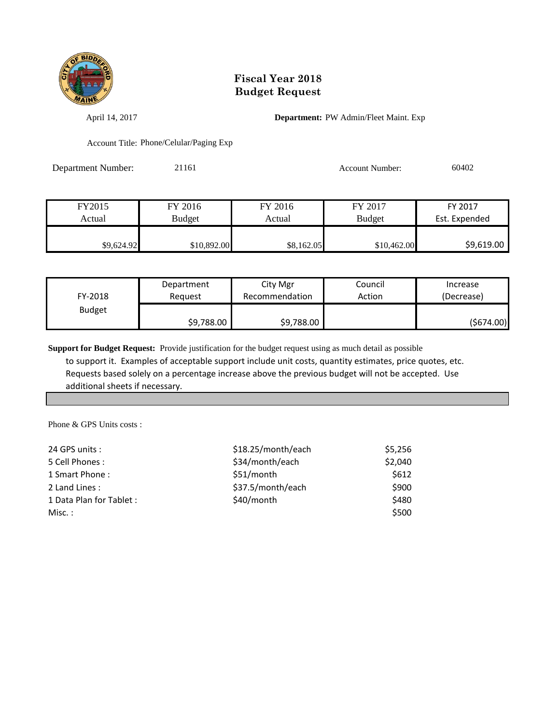

April 14, 2017 **Department:** PW Admin/Fleet Maint. Exp

Account Title: Phone/Celular/Paging Exp

Department Number: 21161 21161 Account Number: 60402

| FY2015     | FY 2016     | FY 2016    | FY 2017       | FY 2017       |
|------------|-------------|------------|---------------|---------------|
| Actual     | Budget      | Actual     | <b>Budget</b> | Est. Expended |
|            |             |            |               |               |
| \$9,624.92 | \$10,892.00 | \$8,162.05 | \$10,462.00   | \$9,619.00    |

| FY-2018       | Department | City Mgr       | Council | Increase   |
|---------------|------------|----------------|---------|------------|
|               | Reauest    | Recommendation | Action  | (Decrease) |
| <b>Budget</b> | \$9,788.00 | \$9,788.00     |         | (5674.00)  |

**Support for Budget Request:** Provide justification for the budget request using as much detail as possible to support it. Examples of acceptable support include unit costs, quantity estimates, price quotes, etc. Requests based solely on a percentage increase above the previous budget will not be accepted. Use additional sheets if necessary.

Phone & GPS Units costs :

| 24 GPS units :           | \$18.25/month/each | \$5,256 |
|--------------------------|--------------------|---------|
| 5 Cell Phones:           | \$34/month/each    | \$2,040 |
| 1 Smart Phone:           | \$51/month         | \$612   |
| 2 Land Lines:            | \$37.5/month/each  | \$900   |
| 1 Data Plan for Tablet : | \$40/month         | \$480   |
| Misc. :                  |                    | \$500   |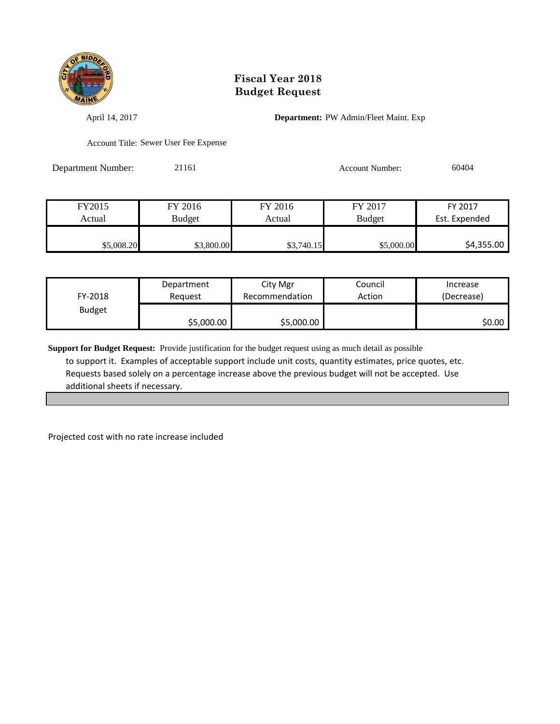

April 14, 2017 **Department:** PW Admin/Fleet Maint. Exp

Account Title: Sewer User Fee Expense

Department Number: 21161 21161 Account Number: 60404

| FY2015     | FY 2016    | FY 2016    | FY 2017       | FY 2017       |
|------------|------------|------------|---------------|---------------|
| Actual     | Budget     | Actual     | <b>Budget</b> | Est. Expended |
|            |            |            |               |               |
| \$5,008.20 | \$3,800.00 | \$3,740.15 | \$5,000.00    | \$4,355.00    |

| FY-2018       | Department | City Mgr       | Council | Increase   |
|---------------|------------|----------------|---------|------------|
|               | Reguest    | Recommendation | Action  | (Decrease) |
| <b>Budget</b> | \$5,000.00 | \$5,000.00     |         | \$0.00     |

**Support for Budget Request:** Provide justification for the budget request using as much detail as possible to support it. Examples of acceptable support include unit costs, quantity estimates, price quotes, etc. Requests based solely on a percentage increase above the previous budget will not be accepted. Use additional sheets if necessary.

Projected cost with no rate increase included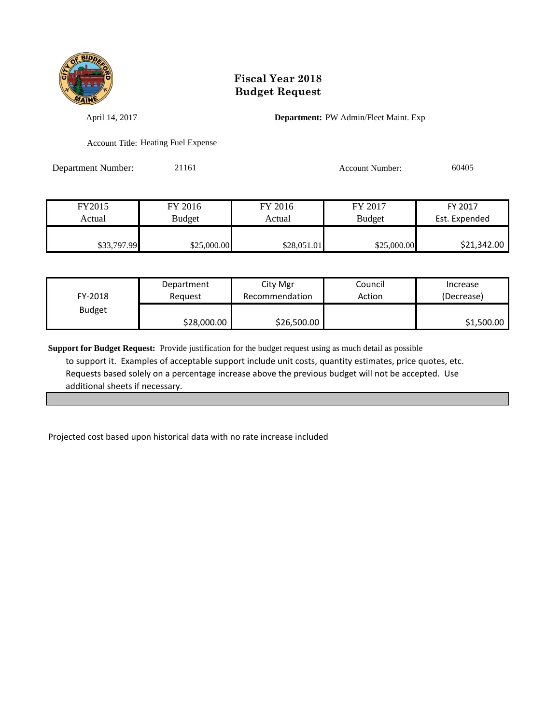

April 14, 2017 **Department:** PW Admin/Fleet Maint. Exp

Account Title: Heating Fuel Expense

Department Number: 21161 21161 Account Number: 60405

| FY2015      | FY 2016     | FY 2016     | FY 2017       | FY 2017       |
|-------------|-------------|-------------|---------------|---------------|
| Actual      | Budget      | Actual      | <b>Budget</b> | Est. Expended |
|             |             |             |               |               |
| \$33,797.99 | \$25,000.00 | \$28,051.01 | \$25,000.00   | \$21,342.00   |

| FY-2018       | Department  | City Mgr       | Council | Increase   |
|---------------|-------------|----------------|---------|------------|
|               | Reauest     | Recommendation | Action  | (Decrease) |
| <b>Budget</b> | \$28,000.00 | \$26,500.00    |         | \$1,500.00 |

**Support for Budget Request:** Provide justification for the budget request using as much detail as possible to support it. Examples of acceptable support include unit costs, quantity estimates, price quotes, etc. Requests based solely on a percentage increase above the previous budget will not be accepted. Use additional sheets if necessary.

Projected cost based upon historical data with no rate increase included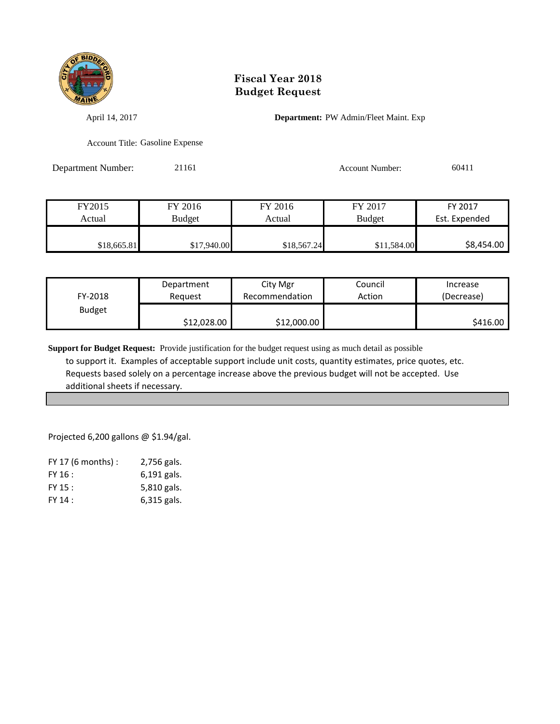

April 14, 2017 **Department:** PW Admin/Fleet Maint. Exp

Account Title: Gasoline Expense

Department Number: 21161 21161 Account Number: 60411

| FY2015      | FY 2016       | FY 2016     | FY 2017       | FY 2017       |
|-------------|---------------|-------------|---------------|---------------|
| Actual      | <b>Budget</b> | Actual      | <b>Budget</b> | Est. Expended |
|             |               |             |               |               |
| \$18,665.81 | \$17,940.00   | \$18,567.24 | \$11,584.00   | \$8,454.00    |

| FY-2018       | Department  | City Mgr       | Council | Increase   |
|---------------|-------------|----------------|---------|------------|
|               | Reguest     | Recommendation | Action  | (Decrease) |
| <b>Budget</b> | \$12,028.00 | \$12,000.00    |         | \$416.00   |

**Support for Budget Request:** Provide justification for the budget request using as much detail as possible to support it. Examples of acceptable support include unit costs, quantity estimates, price quotes, etc. Requests based solely on a percentage increase above the previous budget will not be accepted. Use additional sheets if necessary.

Projected 6,200 gallons @ \$1.94/gal.

| $FY$ 17 (6 months) : | 2,756 gals.   |
|----------------------|---------------|
| FY 16:               | 6,191 gals.   |
| FY 15 :              | 5,810 gals.   |
| FY 14:               | $6,315$ gals. |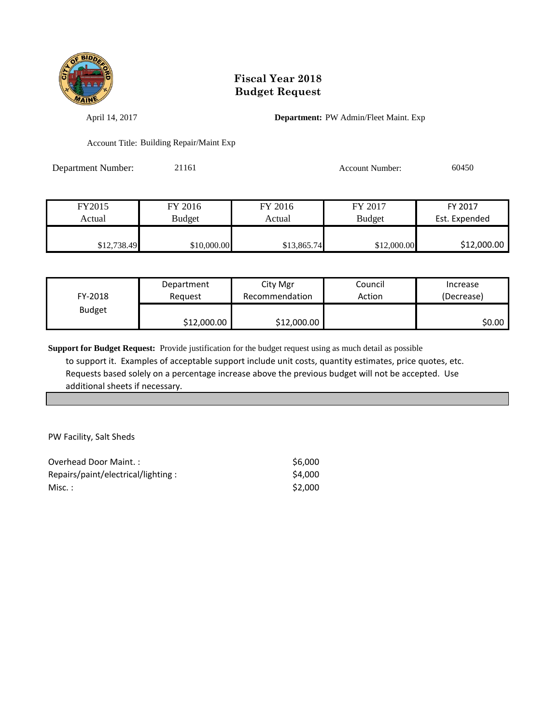

April 14, 2017 **Department:** PW Admin/Fleet Maint. Exp

Account Title: Building Repair/Maint Exp

Department Number: 21161 21161 Account Number: 60450

| FY2015      | FY 2016     | FY 2016     | FY 2017       | FY 2017       |
|-------------|-------------|-------------|---------------|---------------|
| Actual      | Budget      | Actual      | <b>Budget</b> | Est. Expended |
|             |             |             |               |               |
| \$12,738.49 | \$10,000.00 | \$13,865.74 | \$12,000.00   | \$12,000.00   |

| FY-2018       | Department  | City Mgr       | Council | Increase   |
|---------------|-------------|----------------|---------|------------|
|               | Reauest     | Recommendation | Action  | (Decrease) |
| <b>Budget</b> | \$12,000.00 | \$12,000.00    |         | \$0.00     |

**Support for Budget Request:** Provide justification for the budget request using as much detail as possible to support it. Examples of acceptable support include unit costs, quantity estimates, price quotes, etc. Requests based solely on a percentage increase above the previous budget will not be accepted. Use additional sheets if necessary.

PW Facility, Salt Sheds

| Overhead Door Maint.:              | \$6.000 |
|------------------------------------|---------|
| Repairs/paint/electrical/lighting: | \$4,000 |
| Misc.:                             | \$2.000 |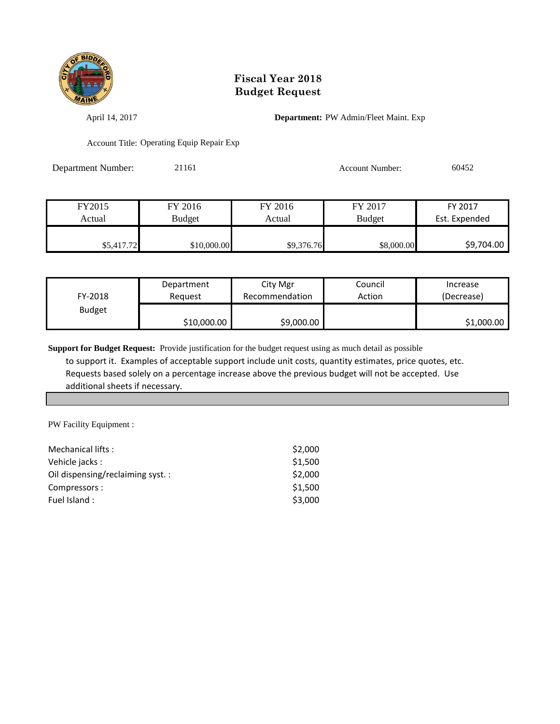

April 14, 2017 **Department:** PW Admin/Fleet Maint. Exp

Account Title: Operating Equip Repair Exp

Department Number: 21161 21161 Account Number: 60452

| FY2015     | FY 2016     | FY 2016    | FY 2017       | FY 2017       |
|------------|-------------|------------|---------------|---------------|
| Actual     | Budget      | Actual     | <b>Budget</b> | Est. Expended |
|            |             |            |               |               |
| \$5,417.72 | \$10,000.00 | \$9,376.76 | \$8,000.00    | \$9,704.00    |

| FY-2018       | Department  | City Mgr       | Council | Increase   |
|---------------|-------------|----------------|---------|------------|
|               | Reauest     | Recommendation | Action  | (Decrease) |
| <b>Budget</b> | \$10,000.00 | \$9,000.00     |         | \$1,000.00 |

**Support for Budget Request:** Provide justification for the budget request using as much detail as possible to support it. Examples of acceptable support include unit costs, quantity estimates, price quotes, etc. Requests based solely on a percentage increase above the previous budget will not be accepted. Use additional sheets if necessary.

PW Facility Equipment :

| Mechanical lifts:                | \$2,000 |
|----------------------------------|---------|
| Vehicle jacks:                   | \$1,500 |
| Oil dispensing/reclaiming syst.: | \$2,000 |
| Compressors:                     | \$1,500 |
| Fuel Island:                     | \$3,000 |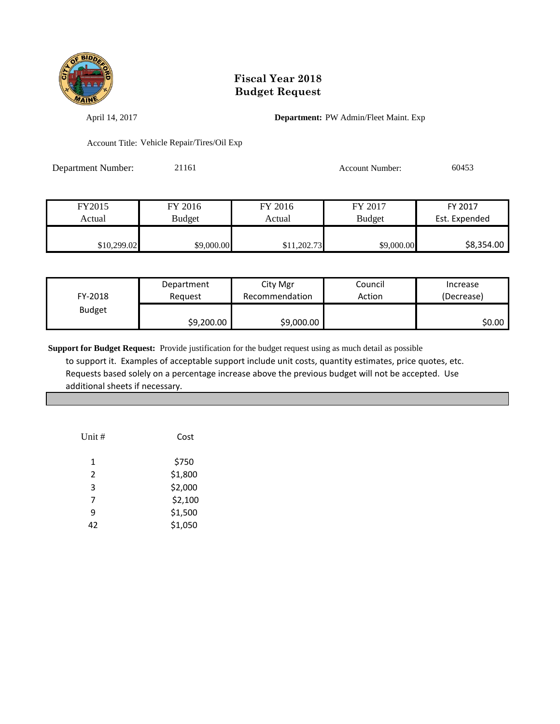

April 14, 2017 **Department:** PW Admin/Fleet Maint. Exp

Account Title: Vehicle Repair/Tires/Oil Exp

| <b>Department Number:</b> | 21161 | Account Number: | 60453 |
|---------------------------|-------|-----------------|-------|
|                           |       |                 |       |

| FY2015      | FY 2016       | FY 2016  | FY 2017       | FY 2017       |
|-------------|---------------|----------|---------------|---------------|
| Actual      | <b>Budget</b> | Actual   | <b>Budget</b> | Est. Expended |
|             |               |          |               |               |
| \$10,299.02 | \$9,000.00    | 1,202.73 | \$9,000.00    | \$8,354.00    |

| FY-2018       | Department | City Mgr       | Council | Increase   |
|---------------|------------|----------------|---------|------------|
|               | Reauest    | Recommendation | Action  | (Decrease) |
| <b>Budget</b> | \$9,200.00 | \$9,000.00     |         | SO.OO I    |

| Unit #         | Cost    |
|----------------|---------|
| 1              | \$750   |
| $\overline{2}$ | \$1,800 |
| 3              | \$2,000 |
| 7              | \$2,100 |
| q              | \$1,500 |
| 42             | \$1,050 |
|                |         |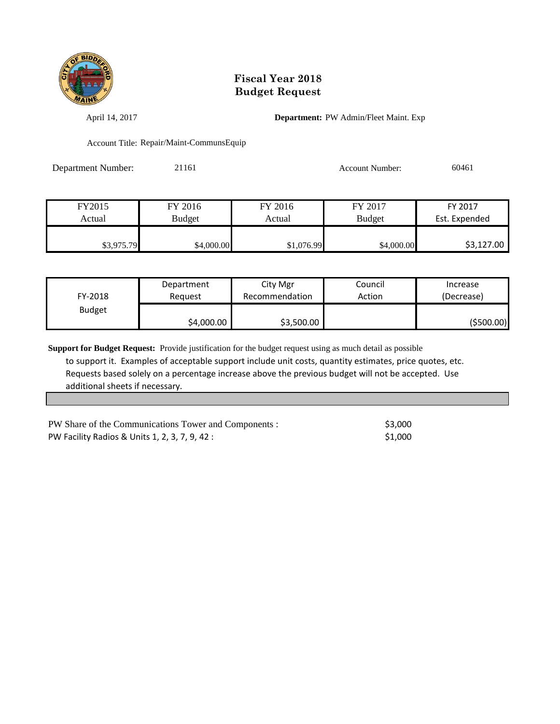

April 14, 2017 **Department:** PW Admin/Fleet Maint. Exp

Account Title: Repair/Maint-CommunsEquip

| <b>Department Number:</b> | 21161 | Account Number: | 60461 |
|---------------------------|-------|-----------------|-------|
|                           |       |                 |       |

| FY2015     | FY 2016       | FY 2016    | FY 2017       | FY 2017       |
|------------|---------------|------------|---------------|---------------|
| Actual     | <b>Budget</b> | Actual     | <b>Budget</b> | Est. Expended |
|            |               |            |               |               |
| \$3,975.79 | \$4,000.00    | \$1,076.99 | \$4,000.00    | \$3,127.00    |

| FY-2018       | Department | City Mgr       | Council | Increase   |
|---------------|------------|----------------|---------|------------|
|               | Reauest    | Recommendation | Action  | (Decrease) |
| <b>Budget</b> | \$4,000.00 | \$3,500.00     |         | (\$500.00) |

| PW Share of the Communications Tower and Components : | \$3.000 |
|-------------------------------------------------------|---------|
| PW Facility Radios & Units 1, 2, 3, 7, 9, 42 :        | \$1.000 |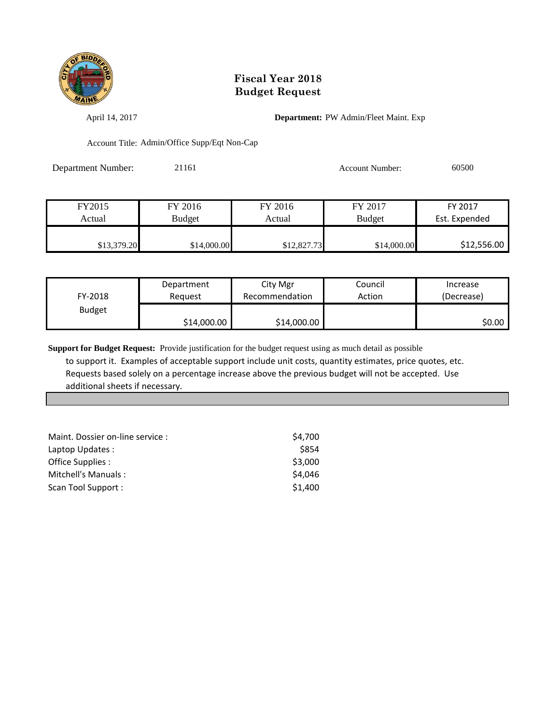

April 14, 2017 **Department:** PW Admin/Fleet Maint. Exp

Account Title: Admin/Office Supp/Eqt Non-Cap

| <b>Department Number:</b> | 21161 | Account Number: | 60500 |
|---------------------------|-------|-----------------|-------|
|                           |       |                 |       |

| FY2015      | FY 2016     | FY 2016     | FY 2017       | FY 2017       |
|-------------|-------------|-------------|---------------|---------------|
| Actual      | Budget      | Actual      | <b>Budget</b> | Est. Expended |
|             |             |             |               |               |
| \$13,379.20 | \$14,000.00 | \$12,827.73 | \$14,000.00   | \$12,556.00   |

| FY-2018       | Department  | City Mgr       | Council | Increase   |
|---------------|-------------|----------------|---------|------------|
|               | Reauest     | Recommendation | Action  | (Decrease) |
| <b>Budget</b> | \$14,000.00 | \$14,000.00    |         | \$0.00     |

| Maint. Dossier on-line service: | \$4.700 |
|---------------------------------|---------|
| Laptop Updates:                 | \$854   |
| Office Supplies :               | \$3,000 |
| Mitchell's Manuals:             | \$4,046 |
| Scan Tool Support:              | \$1,400 |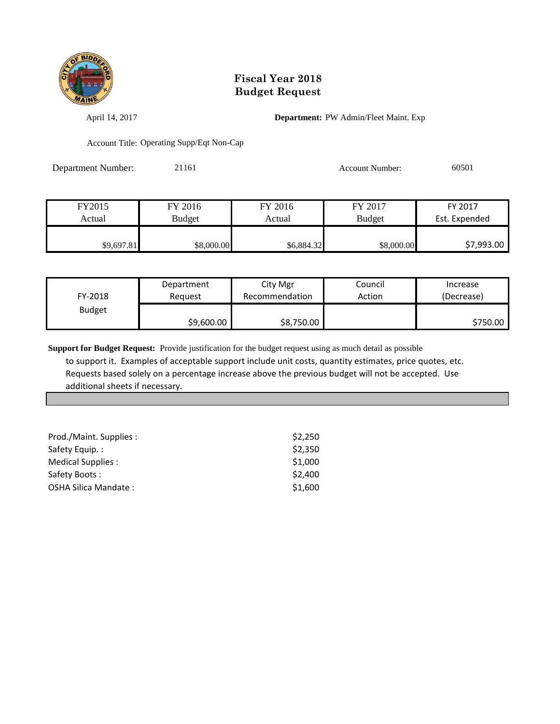

April 14, 2017 **Department:** PW Admin/Fleet Maint. Exp

Account Title: Operating Supp/Eqt Non-Cap

Department Number: 21161 21161 Account Number: 60501

| FY2015     | FY 2016    | FY 2016    | FY 2017       | FY 2017       |
|------------|------------|------------|---------------|---------------|
| Actual     | Budget     | Actual     | <b>Budget</b> | Est. Expended |
|            |            |            |               |               |
| \$9,697.81 | \$8,000.00 | \$6,884.32 | \$8,000.00    | \$7,993.00    |

| FY-2018       | Department | City Mgr       | Council | Increase   |
|---------------|------------|----------------|---------|------------|
|               | Reauest    | Recommendation | Action  | (Decrease) |
| <b>Budget</b> | \$9,600.00 | \$8,750.00     |         | \$750.00   |

| Prod./Maint. Supplies : | \$2,250 |
|-------------------------|---------|
| Safety Equip.:          | \$2,350 |
| Medical Supplies :      | \$1,000 |
| Safety Boots:           | \$2,400 |
| OSHA Silica Mandate:    | \$1,600 |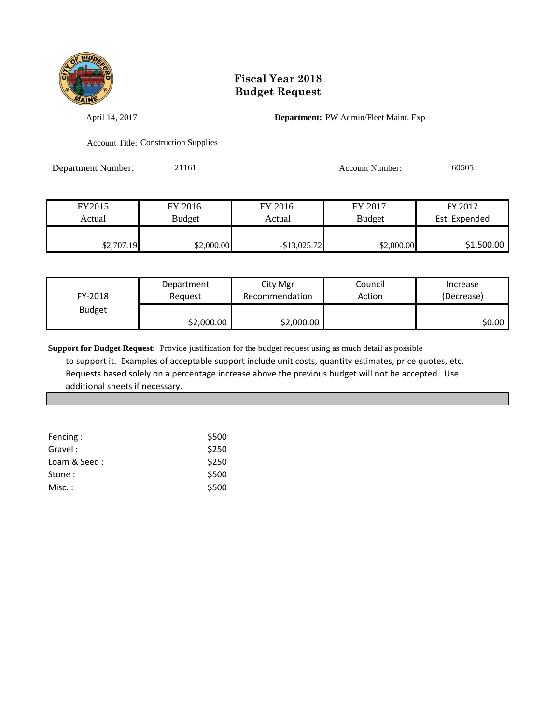

April 14, 2017 **Department:** PW Admin/Fleet Maint. Exp

Account Title: Construction Supplies

Department Number: 21161 21161 Account Number: 60505

| FY2015     | FY 2016    | FY 2016         | FY 2017       | FY 2017       |
|------------|------------|-----------------|---------------|---------------|
| Actual     | Budget     | Actual          | <b>Budget</b> | Est. Expended |
|            |            |                 |               |               |
| \$2,707.19 | \$2,000.00 | $-$ \$13,025.72 | \$2,000.00    | \$1,500.00    |

| FY-2018       | Department | City Mgr       | Council | Increase   |
|---------------|------------|----------------|---------|------------|
|               | Reauest    | Recommendation | Action  | (Decrease) |
| <b>Budget</b> | \$2,000.00 | \$2,000.00     |         | \$0.00     |

| Fencing:     | \$500 |
|--------------|-------|
| Gravel:      | \$250 |
| Loam & Seed: | \$250 |
| Stone :      | \$500 |
| $Misc.$ :    | \$500 |
|              |       |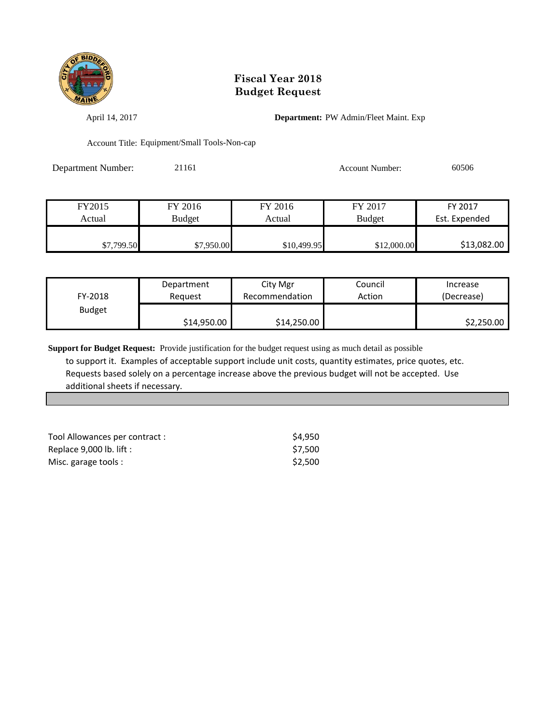

April 14, 2017 **Department:** PW Admin/Fleet Maint. Exp

Account Title: Equipment/Small Tools-Non-cap

Department Number: 21161 21161 Account Number: 60506

| Actual | <b>Budget</b> | Actual  | <b>Budget</b> | Est. Expended |
|--------|---------------|---------|---------------|---------------|
| FY2015 | FY 2016       | FY 2016 | FY 2017       | FY 2017       |

| FY-2018       | Department  | City Mgr       | Council | Increase   |
|---------------|-------------|----------------|---------|------------|
|               | Reauest     | Recommendation | Action  | (Decrease) |
| <b>Budget</b> | \$14,950.00 | \$14,250.00    |         | \$2,250.00 |

| Tool Allowances per contract : | \$4.950 |
|--------------------------------|---------|
| Replace $9,000$ lb. lift :     | \$7.500 |
| Misc. garage tools :           | \$2.500 |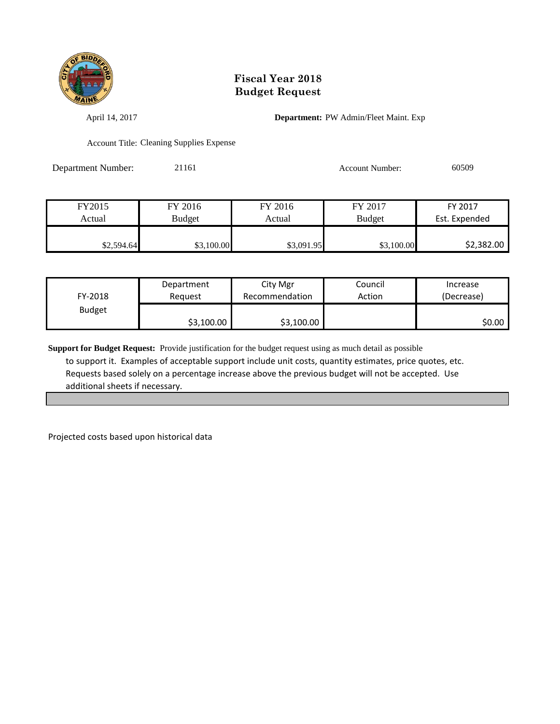

April 14, 2017 **Department:** PW Admin/Fleet Maint. Exp

Account Title: Cleaning Supplies Expense

Department Number: 21161 21161 Account Number: 60509

| FY2015     | FY 2016       | FY 2016    | FY 2017       | FY 2017       |
|------------|---------------|------------|---------------|---------------|
| Actual     | <b>Budget</b> | Actual     | <b>Budget</b> | Est. Expended |
|            |               |            |               |               |
| \$2,594.64 | \$3,100.00    | \$3,091.95 | \$3,100.00    | \$2,382.00    |

| FY-2018       | Department | City Mgr       | Council | Increase   |
|---------------|------------|----------------|---------|------------|
|               | Reguest    | Recommendation | Action  | (Decrease) |
| <b>Budget</b> | \$3,100.00 | \$3,100.00     |         | \$0.00     |

**Support for Budget Request:** Provide justification for the budget request using as much detail as possible to support it. Examples of acceptable support include unit costs, quantity estimates, price quotes, etc. Requests based solely on a percentage increase above the previous budget will not be accepted. Use additional sheets if necessary.

Projected costs based upon historical data